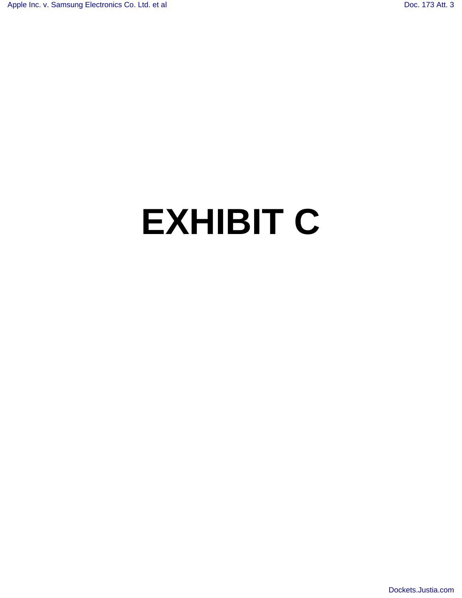# **EXHIBIT C**

[Dockets.Justia.com](http://dockets.justia.com/)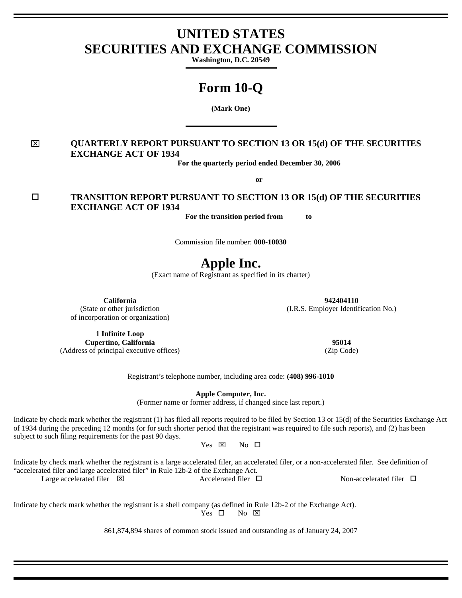### **UNITED STATES SECURITIES AND EXCHANGE COMMISSION**

**Washington, D.C. 20549** 

### **Form 10-Q**

### **(Mark One)**

#### 区 **QUARTERLY REPORT PURSUANT TO SECTION 13 OR 15(d) OF THE SECURITIES EXCHANGE ACT OF 1934**

**For the quarterly period ended December 30, 2006** 

**or** 

#### $\Box$ **TRANSITION REPORT PURSUANT TO SECTION 13 OR 15(d) OF THE SECURITIES EXCHANGE ACT OF 1934**

**For the transition period from to** 

Commission file number: **000-10030** 

### **Apple Inc.**

(Exact name of Registrant as specified in its charter)

**California** 

(State or other jurisdiction (I.R.S. Employer Identification No.) of incorporation or organization)

**1 Infinite Loop Cupertino, California 95014**  (Address of principal executive offices) (Zip Code)

Registrant's telephone number, including area code: **(408) 996-1010** 

**Apple Computer, Inc.** 

(Former name or former address, if changed since last report.)

Indicate by check mark whether the registrant (1) has filed all reports required to be filed by Section 13 or 15(d) of the Securities Exchange Act of 1934 during the preceding 12 months (or for such shorter period that the registrant was required to file such reports), and (2) has been subject to such filing requirements for the past 90 days.

Yes  $\boxtimes$  No  $\Box$ 

Indicate by check mark whether the registrant is a large accelerated filer, an accelerated filer, or a non-accelerated filer. See definition of "accelerated filer and large accelerated filer" in Rule 12b-2 of the Exchange Act.<br>Large accelerated filer  $\boxtimes$  Accelerated filer  $\Box$ Large accelerated filer  $\boxtimes$  Accelerated filer  $\Box$  Non-accelerated filer  $\Box$ 

Indicate by check mark whether the registrant is a shell company (as defined in Rule 12b-2 of the Exchange Act). Yes  $\square$  No  $\square$ 

861,874,894 shares of common stock issued and outstanding as of January 24, 2007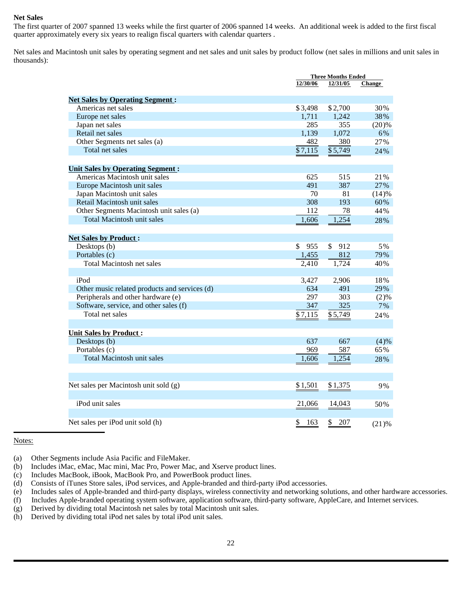The first quarter of 2007 spanned 13 weeks while the first quarter of 2006 spanned 14 weeks. An additional week is added to the first fiscal quarter approximately every six years to realign fiscal quarters with calendar quarters .

Net sales and Macintosh unit sales by operating segment and net sales and unit sales by product follow (net sales in millions and unit sales in thousands):

|                                               | <b>Three Months Ended</b> |           |               |  |
|-----------------------------------------------|---------------------------|-----------|---------------|--|
|                                               | 12/30/06                  | 12/31/05  | <b>Change</b> |  |
|                                               |                           |           |               |  |
| <b>Net Sales by Operating Segment:</b>        |                           |           | 30%           |  |
| Americas net sales                            | \$3,498                   | \$2,700   |               |  |
| Europe net sales                              | 1,711                     | 1,242     | 38%           |  |
| Japan net sales                               | 285                       | 355       | (20)%         |  |
| Retail net sales                              | 1,139                     | 1,072     | 6%            |  |
| Other Segments net sales (a)                  | 482                       | 380       | 27%           |  |
| Total net sales                               | \$7,115                   | \$5,749   | 24%           |  |
| <b>Unit Sales by Operating Segment:</b>       |                           |           |               |  |
| Americas Macintosh unit sales                 | 625                       | 515       | 21%           |  |
| Europe Macintosh unit sales                   | 491                       | 387       | 27%           |  |
| Japan Macintosh unit sales                    | 70                        | 81        | (14)%         |  |
| Retail Macintosh unit sales                   | 308                       | 193       | 60%           |  |
| Other Segments Macintosh unit sales (a)       | 112                       | 78        | 44%           |  |
| <b>Total Macintosh unit sales</b>             | 1,606                     | 1,254     | 28%           |  |
|                                               |                           |           |               |  |
| <b>Net Sales by Product:</b>                  |                           |           |               |  |
| Desktops (b)                                  | \$<br>955                 | \$<br>912 | 5%            |  |
| Portables (c)                                 | 1,455                     | 812       | 79%           |  |
| <b>Total Macintosh net sales</b>              | 2,410                     | 1,724     | 40%           |  |
|                                               |                           |           |               |  |
| iPod                                          | 3,427                     | 2,906     | 18%           |  |
| Other music related products and services (d) | 634                       | 491       | 29%           |  |
| Peripherals and other hardware (e)            | 297                       | 303       | (2)%          |  |
| Software, service, and other sales (f)        | 347                       | 325       | 7%            |  |
| Total net sales                               | \$7,115                   | \$5,749   |               |  |
|                                               |                           |           | 24%           |  |
| <b>Unit Sales by Product:</b>                 |                           |           |               |  |
| Desktops (b)                                  | 637                       | 667       | (4)%          |  |
| Portables (c)                                 | 969                       | 587       | 65%           |  |
| <b>Total Macintosh unit sales</b>             | 1.606                     | 1,254     | 28%           |  |
|                                               |                           |           |               |  |
|                                               |                           |           |               |  |
| Net sales per Macintosh unit sold $(g)$       | \$1,501                   | \$1,375   | 9%            |  |
|                                               |                           |           |               |  |
| iPod unit sales                               | 21,066                    | 14,043    | 50%           |  |
|                                               |                           |           |               |  |
| Net sales per iPod unit sold (h)              | \$<br>163                 | \$<br>207 | (21)%         |  |

Notes:

(a) Other Segments include Asia Pacific and FileMaker.

(b) Includes iMac, eMac, Mac mini, Mac Pro, Power Mac, and Xserve product lines.

(c) Includes MacBook, iBook, MacBook Pro, and PowerBook product lines.

(d) Consists of iTunes Store sales, iPod services, and Apple-branded and third-party iPod accessories.

(e) Includes sales of Apple-branded and third-party displays, wireless connectivity and networking solutions, and other hardware accessories.

(f) Includes Apple-branded operating system software, application software, third-party software, AppleCare, and Internet services.

(g) Derived by dividing total Macintosh net sales by total Macintosh unit sales.

(h) Derived by dividing total iPod net sales by total iPod unit sales.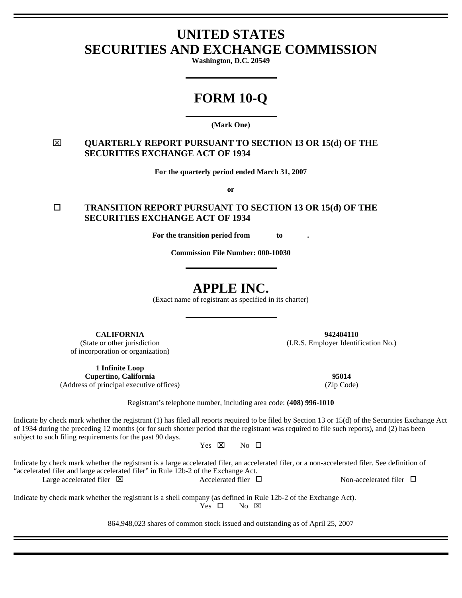### **UNITED STATES SECURITIES AND EXCHANGE COMMISSION**

**Washington, D.C. 20549** 

### **FORM 10-Q**

### **(Mark One)**

#### $\overline{\mathsf{x}}$ **QUARTERLY REPORT PURSUANT TO SECTION 13 OR 15(d) OF THE SECURITIES EXCHANGE ACT OF 1934**

**For the quarterly period ended March 31, 2007** 

**or** 

#### $\Box$ **TRANSITION REPORT PURSUANT TO SECTION 13 OR 15(d) OF THE SECURITIES EXCHANGE ACT OF 1934**

For the transition period from to

**Commission File Number: 000-10030** 

### **APPLE INC.**

(Exact name of registrant as specified in its charter)

**CALIFORNIA**  (State or other jurisdiction (I.R.S. Employer Identification No.) of incorporation or organization)

**1 Infinite Loop Cupertino, California 95014**  (Address of principal executive offices) (Zip Code)

Registrant's telephone number, including area code: **(408) 996-1010** 

Indicate by check mark whether the registrant (1) has filed all reports required to be filed by Section 13 or 15(d) of the Securities Exchange Act of 1934 during the preceding 12 months (or for such shorter period that the registrant was required to file such reports), and (2) has been subject to such filing requirements for the past 90 days.

Yes  $\boxtimes$  No  $\Box$ 

Indicate by check mark whether the registrant is a large accelerated filer, an accelerated filer, or a non-accelerated filer. See definition of "accelerated filer and large accelerated filer" in Rule 12b-2 of the Exchange Act.<br>Large accelerated filer  $\boxtimes$  Accelerated filer  $\Box$ Large accelerated filer  $\boxtimes$  Accelerated filer  $\Box$  Non-accelerated filer  $\Box$ 

Indicate by check mark whether the registrant is a shell company (as defined in Rule 12b-2 of the Exchange Act). Yes  $\square$  No  $\square$ 

864,948,023 shares of common stock issued and outstanding as of April 25, 2007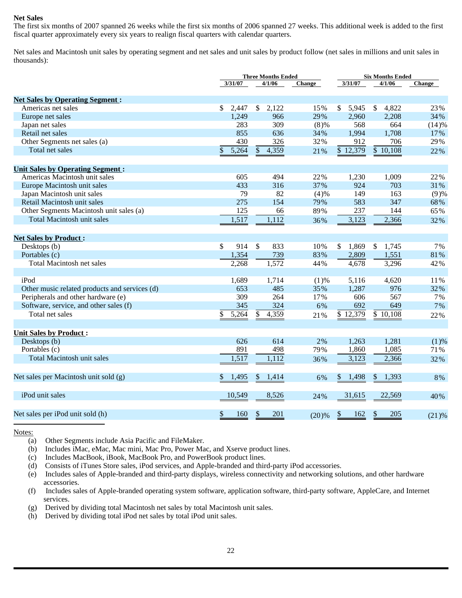The first six months of 2007 spanned 26 weeks while the first six months of 2006 spanned 27 weeks. This additional week is added to the first fiscal quarter approximately every six years to realign fiscal quarters with calendar quarters.

Net sales and Macintosh unit sales by operating segment and net sales and unit sales by product follow (net sales in millions and unit sales in thousands):

|                                               |               |         | <b>Three Months Ended</b> |       |               | <b>Six Months Ended</b> |                        |         |
|-----------------------------------------------|---------------|---------|---------------------------|-------|---------------|-------------------------|------------------------|---------|
|                                               |               | 3/31/07 | 4/1/06                    |       | <b>Change</b> | 3/31/07                 | 4/1/06                 | Change  |
| <b>Net Sales by Operating Segment:</b>        |               |         |                           |       |               |                         |                        |         |
| Americas net sales                            | <sup>\$</sup> | 2.447   | $\mathbb{S}$              | 2,122 | 15%           | 5,945<br>$\mathbb{S}$   | 4,822<br><sup>\$</sup> | 23%     |
| Europe net sales                              |               | 1,249   |                           | 966   | 29%           | 2,960                   | 2,208                  | 34%     |
| Japan net sales                               |               | 283     |                           | 309   | $(8)$ %       | 568                     | 664                    | (14)%   |
| Retail net sales                              |               | 855     |                           | 636   | 34%           | 1,994                   | 1,708                  | 17%     |
| Other Segments net sales (a)                  |               | 430     |                           | 326   | 32%           | 912                     | 706                    | 29%     |
| Total net sales                               | \$            | 5,264   | \$                        | 4,359 | 21%           | $\overline{$}12,379$    | $\overline{$}10,108$   | 22%     |
| <b>Unit Sales by Operating Segment:</b>       |               |         |                           |       |               |                         |                        |         |
| Americas Macintosh unit sales                 |               | 605     |                           | 494   | 22%           | 1,230                   | 1,009                  | 22%     |
| Europe Macintosh unit sales                   |               | 433     |                           | 316   | 37%           | 924                     | 703                    | 31%     |
| Japan Macintosh unit sales                    |               | 79      |                           | 82    | (4)%          | 149                     | 163                    | $(9)$ % |
| Retail Macintosh unit sales                   |               | 275     |                           | 154   | 79%           | 583                     | 347                    | 68%     |
| Other Segments Macintosh unit sales (a)       |               | 125     |                           | 66    | 89%           | 237                     | 144                    | 65%     |
| <b>Total Macintosh unit sales</b>             |               | 1,517   |                           | 1,112 | 36%           | 3,123                   | 2,366                  | 32%     |
| <b>Net Sales by Product:</b>                  |               |         |                           |       |               |                         |                        |         |
| Desktops (b)                                  | \$            | 914     | \$                        | 833   | 10%           | \$<br>1,869             | 1,745<br>\$            | 7%      |
| Portables (c)                                 |               | 1,354   |                           | 739   | 83%           | 2,809                   | 1,551                  | 81%     |
| <b>Total Macintosh net sales</b>              |               | 2,268   |                           | 1,572 | 44%           | 4,678                   | 3,296                  | 42%     |
| iPod                                          |               | 1,689   |                           | 1,714 | (1)%          | 5,116                   | 4,620                  | 11%     |
| Other music related products and services (d) |               | 653     |                           | 485   | 35%           | 1,287                   | 976                    | 32%     |
| Peripherals and other hardware (e)            |               | 309     |                           | 264   | 17%           | 606                     | 567                    | 7%      |
| Software, service, and other sales (f)        |               | 345     |                           | 324   | 6%            | 692                     | 649                    | 7%      |
| Total net sales                               | \$            | 5,264   | \$                        | 4,359 | 21%           | \$12,379                | \$10,108               | 22%     |
| <b>Unit Sales by Product:</b>                 |               |         |                           |       |               |                         |                        |         |
| Desktops (b)                                  |               | 626     |                           | 614   | 2%            | 1,263                   | 1,281                  | $(1)$ % |
| Portables (c)                                 |               | 891     |                           | 498   | 79%           | 1,860                   | 1,085                  | 71%     |
| <b>Total Macintosh unit sales</b>             |               | 1,517   |                           | 1,112 | 36%           | 3,123                   | 2,366                  | 32%     |
| Net sales per Macintosh unit sold (g)         |               | 1,495   | \$                        | 1,414 |               | 1,498                   | 1,393<br>\$            |         |
|                                               |               |         |                           |       | 6%            |                         |                        | 8%      |
| iPod unit sales                               |               | 10,549  |                           | 8,526 | 24%           | 31,615                  | 22,569                 | 40%     |
| Net sales per iPod unit sold (h)              | \$            | 160     | \$                        | 201   | (20)%         | 162<br>\$               | 205<br>S               | (21)%   |

Notes:

- (a) Other Segments include Asia Pacific and FileMaker.
- (b) Includes iMac, eMac, Mac mini, Mac Pro, Power Mac, and Xserve product lines.
- (c) Includes MacBook, iBook, MacBook Pro, and PowerBook product lines.
- (d) Consists of iTunes Store sales, iPod services, and Apple-branded and third-party iPod accessories.
- (e) Includes sales of Apple-branded and third-party displays, wireless connectivity and networking solutions, and other hardware accessories.
- (f) Includes sales of Apple-branded operating system software, application software, third-party software, AppleCare, and Internet services.
- (g) Derived by dividing total Macintosh net sales by total Macintosh unit sales.
- (h) Derived by dividing total iPod net sales by total iPod unit sales.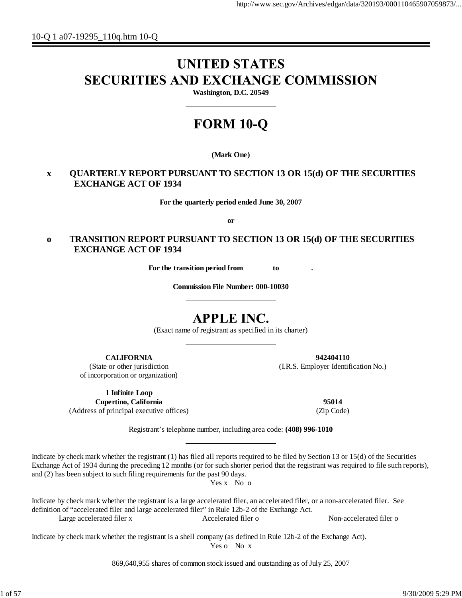# **UNITED STATES SECURITIES AND EXCHANGE COMMISSION**

**Washington, D.C. 20549**

# **FORM 10-Q**

### **(Mark One)**

### **x QUARTERLY REPORT PURSUANT TO SECTION 13 OR 15(d) OF THE SECURITIES EXCHANGE ACT OF 1934**

**For the quarterly period ended June 30, 2007**

**or**

### **o TRANSITION REPORT PURSUANT TO SECTION 13 OR 15(d) OF THE SECURITIES EXCHANGE ACT OF 1934**

For the transition period from to

**Commission File Number: 000-10030**

### **APPLE INC.**

(Exact name of registrant as specified in its charter)

**CALIFORNIA 942404110**

(State or other jurisdiction (I.R.S. Employer Identification No.) of incorporation or organization)

**1 Infinite Loop Cupertino, California 95014**

(Address of principal executive offices) (Zip Code)

Registrant's telephone number, including area code: **(408) 996-1010**

Indicate by check mark whether the registrant (1) has filed all reports required to be filed by Section 13 or 15(d) of the Securities Exchange Act of 1934 during the preceding 12 months (or for such shorter period that the registrant was required to file such reports), and (2) has been subject to such filing requirements for the past 90 days.

Yes x No o

Indicate by check mark whether the registrant is a large accelerated filer, an accelerated filer, or a non-accelerated filer. See definition of "accelerated filer and large accelerated filer" in Rule 12b-2 of the Exchange Act. Large accelerated filer x Accelerated filer o Non-accelerated filer o

Indicate by check mark whether the registrant is a shell company (as defined in Rule 12b-2 of the Exchange Act). Yes o No x

869,640,955 shares of common stock issued and outstanding as of July 25, 2007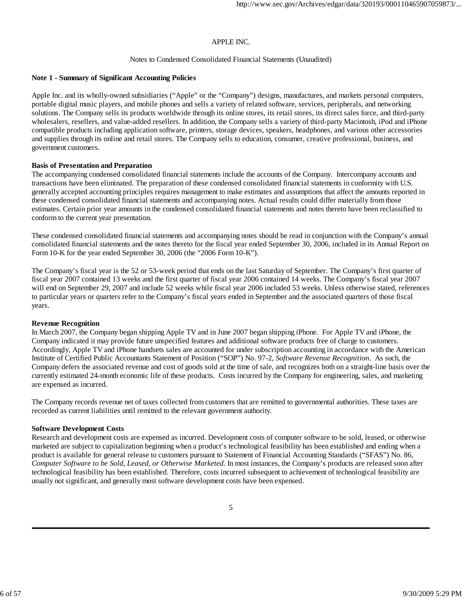### APPLE INC.

### Notes to Condensed Consolidated Financial Statements (Unaudited)

### **Note 1 - Summary of Significant Accounting Policies**

Apple Inc. and its wholly-owned subsidiaries ("Apple" or the "Company") designs, manufactures, and markets personal computers, portable digital music players, and mobile phones and sells a variety of related software, services, peripherals, and networking solutions. The Company sells its products worldwide through its online stores, its retail stores, its direct sales force, and third-party wholesalers, resellers, and value-added resellers. In addition, the Company sells a variety of third-party Macintosh, iPod and iPhone compatible products including application software, printers, storage devices, speakers, headphones, and various other accessories and supplies through its online and retail stores. The Company sells to education, consumer, creative professional, business, and government customers.

### **Basis of Presentation and Preparation**

The accompanying condensed consolidated financial statements include the accounts of the Company. Intercompany accounts and transactions have been eliminated. The preparation of these condensed consolidated financial statements in conformity with U.S. generally accepted accounting principles requires management to make estimates and assumptions that affect the amounts reported in these condensed consolidated financial statements and accompanying notes. Actual results could differ materially from those estimates. Certain prior year amounts in the condensed consolidated financial statements and notes thereto have been reclassified to conform to the current year presentation.

These condensed consolidated financial statements and accompanying notes should be read in conjunction with the Company's annual consolidated financial statements and the notes thereto for the fiscal year ended September 30, 2006, included in its Annual Report on Form 10-K for the year ended September 30, 2006 (the "2006 Form 10-K").

The Company's fiscal year is the 52 or 53-week period that ends on the last Saturday of September. The Company's first quarter of fiscal year 2007 contained 13 weeks and the first quarter of fiscal year 2006 contained 14 weeks. The Company's fiscal year 2007 will end on September 29, 2007 and include 52 weeks while fiscal year 2006 included 53 weeks. Unless otherwise stated, references to particular years or quarters refer to the Company's fiscal years ended in September and the associated quarters of those fiscal years.

### **Revenue Recognition**

In March 2007, the Company began shipping Apple TV and in June 2007 began shipping iPhone. For Apple TV and iPhone, the Company indicated it may provide future unspecified features and additional software products free of charge to customers. Accordingly, Apple TV and iPhone handsets sales are accounted for under subscription accounting in accordance with the American Institute of Certified Public Accountants Statement of Position ("SOP") No. 97-2, *Software Revenue Recognition*. As such, the Company defers the associated revenue and cost of goods sold at the time of sale, and recognizes both on a straight-line basis over the currently estimated 24-month economic life of these products. Costs incurred by the Company for engineering, sales, and marketing are expensed as incurred.

The Company records revenue net of taxes collected from customers that are remitted to governmental authorities. These taxes are recorded as current liabilities until remitted to the relevant government authority.

### **Software Development Costs**

Research and development costs are expensed as incurred. Development costs of computer software to be sold, leased, or otherwise marketed are subject to capitalization beginning when a product's technological feasibility has been established and ending when a product is available for general release to customers pursuant to Statement of Financial Accounting Standards ("SFAS") No. 86, *Computer Software to be Sold, Leased, or Otherwise Marketed*. In most instances, the Company's products are released soon after technological feasibility has been established. Therefore, costs incurred subsequent to achievement of technological feasibility are usually not significant, and generally most software development costs have been expensed.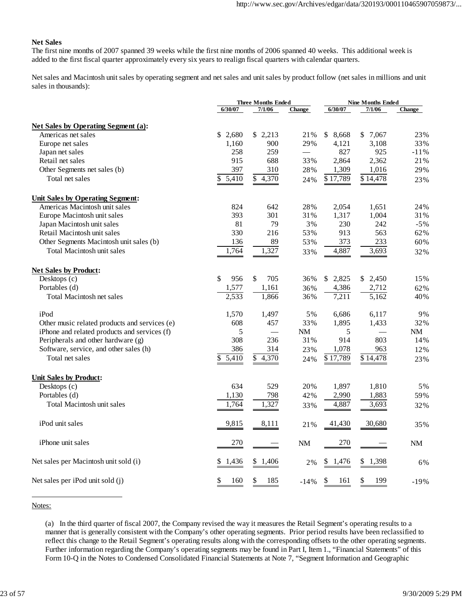The first nine months of 2007 spanned 39 weeks while the first nine months of 2006 spanned 40 weeks. This additional week is added to the first fiscal quarter approximately every six years to realign fiscal quarters with calendar quarters.

Net sales and Macintosh unit sales by operating segment and net sales and unit sales by product follow (net sales in millions and unit sales in thousands):

|                                               |             | <b>Three Months Ended</b> |                 | <b>Nine Months Ended</b> |             |        |
|-----------------------------------------------|-------------|---------------------------|-----------------|--------------------------|-------------|--------|
|                                               | 6/30/07     | 7/1/06                    | <b>Change</b>   | 6/30/07                  | 7/1/06      | Change |
| <b>Net Sales by Operating Segment (a):</b>    |             |                           |                 |                          |             |        |
| Americas net sales                            | 2,680<br>\$ | \$2,213                   | 21%             | \$<br>8,668              | 7,067<br>\$ | 23%    |
| Europe net sales                              | 1,160       | 900                       | 29%             | 4,121                    | 3,108       | 33%    |
| Japan net sales                               | 258         | 259                       | $\qquad \qquad$ | 827                      | 925         | $-11%$ |
| Retail net sales                              | 915         | 688                       | 33%             | 2,864                    | 2,362       | 21%    |
| Other Segments net sales (b)                  | 397         | 310                       | 28%             | 1,309                    | 1,016       | 29%    |
| Total net sales                               | 5,410<br>\$ | $4,3\overline{70}$<br>\$  | 24%             | \$17,789                 | \$14,478    | 23%    |
| <b>Unit Sales by Operating Segment:</b>       |             |                           |                 |                          |             |        |
| Americas Macintosh unit sales                 | 824         | 642                       | 28%             | 2,054                    | 1,651       | 24%    |
| Europe Macintosh unit sales                   | 393         | 301                       | 31%             | 1,317                    | 1,004       | 31%    |
| Japan Macintosh unit sales                    | 81          | 79                        | 3%              | 230                      | 242         | $-5%$  |
| Retail Macintosh unit sales                   | 330         | 216                       | 53%             | 913                      | 563         | 62%    |
| Other Segments Macintosh unit sales (b)       | 136         | 89                        | 53%             | 373                      | 233         | 60%    |
| <b>Total Macintosh unit sales</b>             | 1,764       | 1,327                     | 33%             | 4,887                    | 3,693       | 32%    |
| <b>Net Sales by Product:</b>                  |             |                           |                 |                          |             |        |
| Desktops (c)                                  | 956<br>\$   | $\mathbb{S}$<br>705       | 36%             | \$2,825                  | \$2,450     | 15%    |
| Portables (d)                                 | 1,577       | 1,161                     | 36%             | 4,386                    | 2,712       | 62%    |
| <b>Total Macintosh net sales</b>              | 2,533       | 1,866                     | 36%             | 7,211                    | 5,162       | 40%    |
| iPod                                          | 1,570       | 1,497                     | 5%              | 6,686                    | 6,117       | 9%     |
| Other music related products and services (e) | 608         | 457                       | 33%             | 1,895                    | 1,433       | 32%    |
| iPhone and related products and services (f)  | 5           |                           | NM              | 5                        |             | NM     |
| Peripherals and other hardware (g)            | 308         | 236                       | 31%             | 914                      | 803         | 14%    |
| Software, service, and other sales (h)        | 386         | 314                       | 23%             | 1,078                    | 963         | 12%    |
| Total net sales                               | 5,410<br>\$ | 4,370<br>\$               | 24%             | \$17,789                 | \$14,478    | 23%    |
| <b>Unit Sales by Product:</b>                 |             |                           |                 |                          |             |        |
| Desktops (c)                                  | 634         | 529                       | 20%             | 1,897                    | 1,810       | 5%     |
| Portables (d)                                 | 1,130       | 798                       | 42%             | 2,990                    | 1,883       | 59%    |
| Total Macintosh unit sales                    | 1,764       | 1,327                     | 33%             | 4,887                    | 3,693       | 32%    |
| iPod unit sales                               | 9,815       | 8,111                     | 21%             | 41,430                   | 30,680      | 35%    |
| iPhone unit sales                             | 270         |                           | NM              | 270                      |             | NM     |
| Net sales per Macintosh unit sold (i)         | 1,436<br>\$ | \$<br>1,406               | 2%              | 1,476<br>S               | \$<br>1,398 | 6%     |
| Net sales per iPod unit sold (j)              | \$<br>160   | \$<br>185                 | $-14%$          | \$<br>161                | 199<br>\$   | $-19%$ |

#### Notes:

(a) In the third quarter of fiscal 2007, the Company revised the way it measures the Retail Segment's operating results to a manner that is generally consistent with the Company's other operating segments. Prior period results have been reclassified to reflect this change to the Retail Segment's operating results along with the corresponding offsets to the other operating segments. Further information regarding the Company's operating segments may be found in Part I, Item 1., "Financial Statements" of this Form 10-Q in the Notes to Condensed Consolidated Financial Statements at Note 7, "Segment Information and Geographic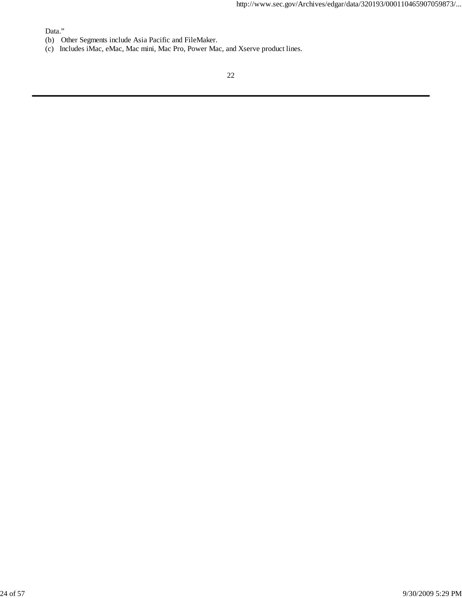Data."

- (b) Other Segments include Asia Pacific and FileMaker.
- (c) Includes iMac, eMac, Mac mini, Mac Pro, Power Mac, and Xserve product lines.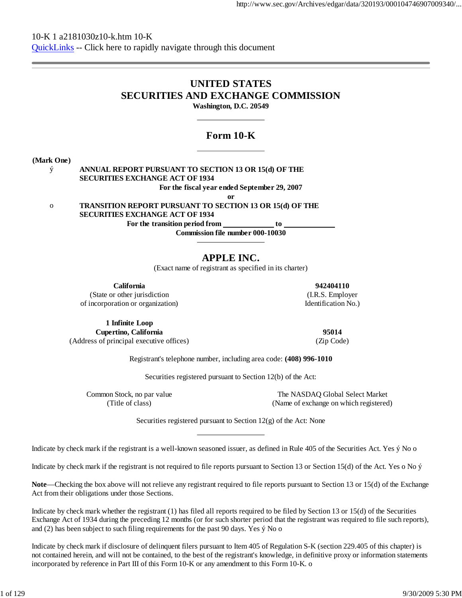### 10-K 1 a2181030z10-k.htm 10-K QuickLinks -- Click here to rapidly navigate through this document

### **UNITED STATES SECURITIES AND EXCHANGE COMMISSION**

**Washington, D.C. 20549**

### **Form 10-K**

### **(Mark One)**

### ý **ANNUAL REPORT PURSUANT TO SECTION 13 OR 15(d) OF THE SECURITIES EXCHANGE ACT OF 1934**

**For the fiscal year ended September 29, 2007**

**or** o **TRANSITION REPORT PURSUANT TO SECTION 13 OR 15(d) OF THE SECURITIES EXCHANGE ACT OF 1934** For the transition period from \_\_\_\_\_\_\_\_\_\_\_\_\_\_ to

**Commission file number 000-10030**

### **APPLE INC.**

(Exact name of registrant as specified in its charter)

**California 942404110**

(State or other jurisdiction of incorporation or organization)

**1 Infinite Loop Cupertino, California 95014** (Address of principal executive offices) (Zip Code)

 (I.R.S. Employer Identification No.)

Registrant's telephone number, including area code: **(408) 996-1010**

Securities registered pursuant to Section 12(b) of the Act:

Common Stock, no par value The NASDAQ Global Select Market (Title of class) (Name of exchange on which registered)

Securities registered pursuant to Section 12(g) of the Act: None

Indicate by check mark if the registrant is a well-known seasoned issuer, as defined in Rule 405 of the Securities Act. Yes ý No o

Indicate by check mark if the registrant is not required to file reports pursuant to Section 13 or Section 15(d) of the Act. Yes o No ý

**Note**—Checking the box above will not relieve any registrant required to file reports pursuant to Section 13 or 15(d) of the Exchange Act from their obligations under those Sections.

Indicate by check mark whether the registrant (1) has filed all reports required to be filed by Section 13 or 15(d) of the Securities Exchange Act of 1934 during the preceding 12 months (or for such shorter period that the registrant was required to file such reports), and (2) has been subject to such filing requirements for the past 90 days. Yes ý No o

Indicate by check mark if disclosure of delinquent filers pursuant to Item 405 of Regulation S-K (section 229.405 of this chapter) is not contained herein, and will not be contained, to the best of the registrant's knowledge, in definitive proxy or information statements incorporated by reference in Part III of this Form 10-K or any amendment to this Form 10-K. o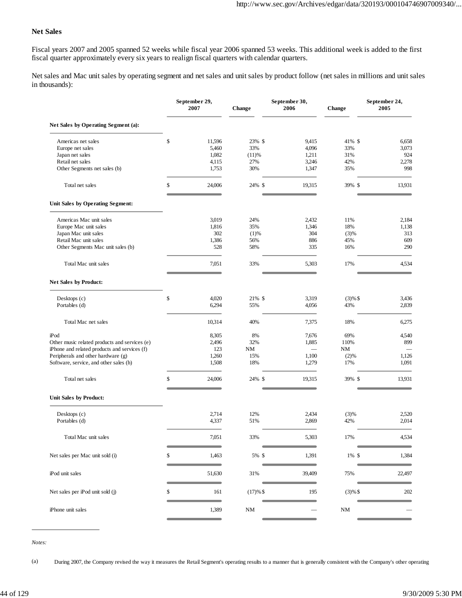Fiscal years 2007 and 2005 spanned 52 weeks while fiscal year 2006 spanned 53 weeks. This additional week is added to the first fiscal quarter approximately every six years to realign fiscal quarters with calendar quarters.

Net sales and Mac unit sales by operating segment and net sales and unit sales by product follow (net sales in millions and unit sales in thousands):

|                                               | September 29,<br>2007 | Change     | September 30,<br>2006    | Change    | September 24,<br>2005 |
|-----------------------------------------------|-----------------------|------------|--------------------------|-----------|-----------------------|
| Net Sales by Operating Segment (a):           |                       |            |                          |           |                       |
| Americas net sales                            | \$<br>11,596          | 23% \$     | 9,415                    | 41% \$    | 6,658                 |
| Europe net sales                              | 5,460                 | 33%        | 4,096                    | 33%       | 3,073                 |
| Japan net sales                               | 1,082                 | (11)%      | 1,211                    | 31%       | 924                   |
| Retail net sales                              | 4,115                 | 27%        | 3,246                    | 42%       | 2,278                 |
| Other Segments net sales (b)                  | 1,753                 | 30%        | 1,347                    | 35%       | 998                   |
| Total net sales                               | \$<br>24,006          | 24% \$     | 19,315                   | 39% \$    | 13,931                |
| Unit Sales by Operating Segment:              |                       |            |                          |           |                       |
| Americas Mac unit sales                       | 3,019                 | 24%        | 2,432                    | 11%       | 2,184                 |
| Europe Mac unit sales                         | 1,816                 | 35%        | 1,346                    | 18%       | 1,138                 |
| Japan Mac unit sales                          | 302                   | (1)%       | 304                      | (3)%      | 313                   |
| Retail Mac unit sales                         | 1,386                 | 56%        | 886                      | 45%       | 609                   |
| Other Segments Mac unit sales (b)             | 528                   | 58%        | 335                      | 16%       | 290                   |
| Total Mac unit sales                          | 7,051                 | 33%        | 5,303                    | 17%       | 4,534                 |
| <b>Net Sales by Product:</b>                  |                       |            |                          |           |                       |
| Desktops (c)                                  | \$<br>4,020           | 21% \$     | 3,319                    | $(3)$ %\$ | 3,436                 |
| Portables (d)                                 | 6,294                 | 55%        | 4,056                    | 43%       | 2,839                 |
| Total Mac net sales                           | 10,314                | 40%        | 7,375                    | 18%       | 6,275                 |
| iPod                                          | 8,305                 | 8%         | 7,676                    | 69%       | 4,540                 |
| Other music related products and services (e) | 2,496                 | 32%        | 1,885                    | 110%      | 899                   |
| iPhone and related products and services (f)  | 123                   | NM         | $\overline{\phantom{0}}$ | NΜ        |                       |
| Peripherals and other hardware (g)            | 1,260                 | 15%        | 1,100                    | (2)%      | 1,126                 |
| Software, service, and other sales (h)        | 1,508                 | 18%        | 1,279                    | 17%       | 1,091                 |
| Total net sales                               | \$<br>24,006          | 24% \$     | 19,315                   | 39% \$    | 13,931                |
| <b>Unit Sales by Product:</b>                 |                       |            |                          |           |                       |
| Desktops (c)                                  | 2,714                 | 12%        | 2,434                    | (3)%      | 2,520                 |
| Portables (d)                                 | 4,337                 | 51%        | 2,869                    | 42%       | 2,014                 |
| Total Mac unit sales                          | 7,051                 | 33%        | 5,303                    | 17%       | 4,534                 |
| Net sales per Mac unit sold (i)               | \$<br>1,463           | 5% \$      | 1,391                    | 1% \$     | 1,384                 |
| iPod unit sales                               | 51,630                | 31%        | 39,409                   | 75%       | 22,497                |
| Net sales per iPod unit sold (j)              | \$<br>161             | $(17)$ %\$ | 195                      | $(3)$ %\$ | 202                   |
| iPhone unit sales                             | 1,389                 | NM         |                          | $\rm{NM}$ |                       |

*Notes:*

(a) During 2007, the Company revised the way it measures the Retail Segment's operating results to a manner that is generally consistent with the Company's other operating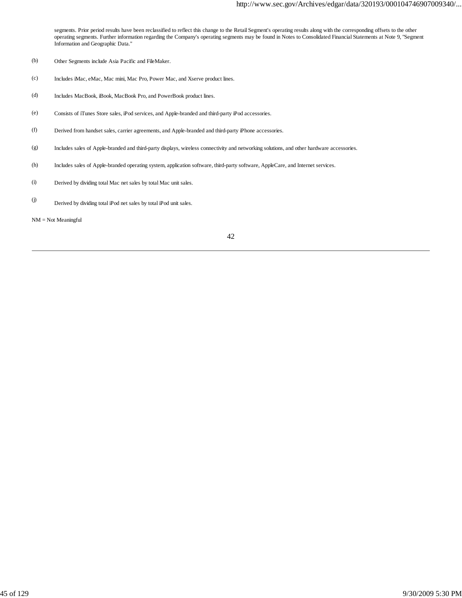segments. Prior period results have been reclassified to reflect this change to the Retail Segment's operating results along with the corresponding offsets to the other operating segments. Further information regarding the Company's operating segments may be found in Notes to Consolidated Financial Statements at Note 9, "Segment Information and Geographic Data."

- (b) Other Segments include Asia Pacific and FileMaker.
- (c) Includes iMac, eMac, Mac mini, Mac Pro, Power Mac, and Xserve product lines.
- (d) Includes MacBook, iBook, MacBook Pro, and PowerBook product lines.
- (e) Consists of iTunes Store sales, iPod services, and Apple-branded and third-party iPod accessories.
- (f) Derived from handset sales, carrier agreements, and Apple-branded and third-party iPhone accessories.
- (g) Includes sales of Apple-branded and third-party displays, wireless connectivity and networking solutions, and other hardware accessories.
- (h) Includes sales of Apple-branded operating system, application software, third-party software, AppleCare, and Internet services.
- (i) Derived by dividing total Mac net sales by total Mac unit sales.
- (j) Derived by dividing total iPod net sales by total iPod unit sales.
- NM = Not Meaningful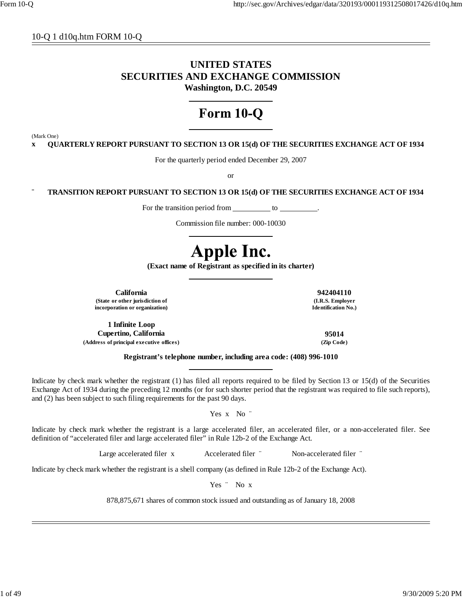### 10-Q 1 d10q.htm FORM 10-Q

### **UNITED STATES SECURITIES AND EXCHANGE COMMISSION Washington, D.C. 20549**

# Form 10-Q

(Mark One)

### **x QUARTERLY REPORT PURSUANT TO SECTION 13 OR 15(d) OF THE SECURITIES EXCHANGE ACT OF 1934**

For the quarterly period ended December 29, 2007

or

**¨ TRANSITION REPORT PURSUANT TO SECTION 13 OR 15(d) OF THE SECURITIES EXCHANGE ACT OF 1934**

For the transition period from \_\_\_\_\_\_\_\_\_\_ to \_\_\_\_\_\_\_

Commission file number: 000-10030

# Apple Inc.

**(Exact name of Registrant as specified in its charter)**

**California 942404110 (State or other jurisdiction of incorporation or organization)**

**1 Infinite Loop Cupertino, California 95014 (Address of principal executive offices) (Zip Code)**

**(I.R.S. Employer Identification No.)**

**Registrant's telephone number, including area code: (408) 996-1010**

Indicate by check mark whether the registrant (1) has filed all reports required to be filed by Section 13 or 15(d) of the Securities Exchange Act of 1934 during the preceding 12 months (or for such shorter period that the registrant was required to file such reports), and (2) has been subject to such filing requirements for the past 90 days.

Yes x No "

Indicate by check mark whether the registrant is a large accelerated filer, an accelerated filer, or a non-accelerated filer. See definition of "accelerated filer and large accelerated filer" in Rule 12b-2 of the Exchange Act.

Large accelerated filer x Accelerated filer  $\ddot{\text{}}$  Non-accelerated filer  $\ddot{\text{}}$ 

Indicate by check mark whether the registrant is a shell company (as defined in Rule 12b-2 of the Exchange Act).

Yes  $\cdot$  No x

878,875,671 shares of common stock issued and outstanding as of January 18, 2008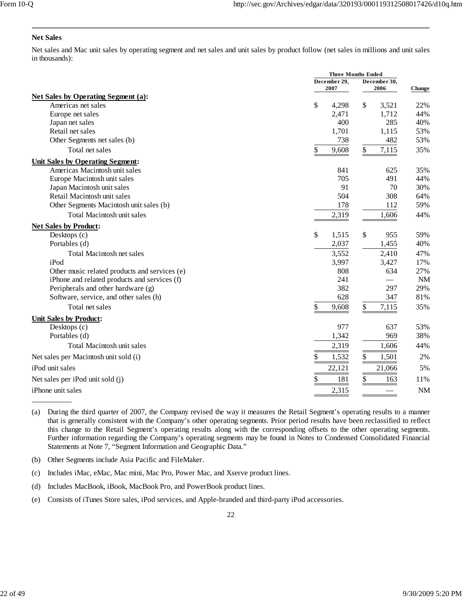Net sales and Mac unit sales by operating segment and net sales and unit sales by product follow (net sales in millions and unit sales in thousands):

|                                               |              | <b>Three Months Ended</b> |           |
|-----------------------------------------------|--------------|---------------------------|-----------|
|                                               | December 29, | December 30,              |           |
|                                               | 2007         | 2006                      | Change    |
| <b>Net Sales by Operating Segment (a):</b>    |              |                           |           |
| Americas net sales                            | \$<br>4,298  | \$<br>3,521               | 22%       |
| Europe net sales                              | 2,471        | 1,712                     | 44%       |
| Japan net sales                               | 400          | 285                       | 40%       |
| Retail net sales                              | 1,701        | 1,115                     | 53%       |
| Other Segments net sales (b)                  | 738          | 482                       | 53%       |
| Total net sales                               | \$<br>9,608  | \$<br>7,115               | 35%       |
| <b>Unit Sales by Operating Segment:</b>       |              |                           |           |
| Americas Macintosh unit sales                 | 841          | 625                       | 35%       |
| Europe Macintosh unit sales                   | 705          | 491                       | 44%       |
| Japan Macintosh unit sales                    | 91           | 70                        | 30%       |
| Retail Macintosh unit sales                   | 504          | 308                       | 64%       |
| Other Segments Macintosh unit sales (b)       | 178          | 112                       | 59%       |
| <b>Total Macintosh unit sales</b>             | 2,319        | 1,606                     | 44%       |
| <b>Net Sales by Product:</b>                  |              |                           |           |
| Desktops (c)                                  | \$<br>1,515  | \$<br>955                 | 59%       |
| Portables (d)                                 | 2,037        | 1,455                     | 40%       |
| <b>Total Macintosh net sales</b>              | 3,552        | 2,410                     | 47%       |
| iPod                                          | 3,997        | 3,427                     | 17%       |
| Other music related products and services (e) | 808          | 634                       | 27%       |
| iPhone and related products and services (f)  | 241          |                           | <b>NM</b> |
| Peripherals and other hardware (g)            | 382          | 297                       | 29%       |
| Software, service, and other sales (h)        | 628          | 347                       | 81%       |
| Total net sales                               | \$<br>9,608  | \$<br>7,115               | 35%       |
| <b>Unit Sales by Product:</b>                 |              |                           |           |
| Desktops (c)                                  | 977          | 637                       | 53%       |
| Portables (d)                                 | 1,342        | 969                       | 38%       |
| Total Macintosh unit sales                    | 2,319        | 1,606                     | 44%       |
| Net sales per Macintosh unit sold (i)         | 1,532<br>\$  | \$<br>1,501               | 2%        |
| iPod unit sales                               | 22,121       | 21,066                    | 5%        |
| Net sales per iPod unit sold (j)              | \$<br>181    | \$<br>163                 | 11%       |
| <i>iPhone</i> unit sales                      | 2,315        |                           | <b>NM</b> |
|                                               |              |                           |           |

(a) During the third quarter of 2007, the Company revised the way it measures the Retail Segment's operating results to a manner that is generally consistent with the Company's other operating segments. Prior period results have been reclassified to reflect this change to the Retail Segment's operating results along with the corresponding offsets to the other operating segments. Further information regarding the Company's operating segments may be found in Notes to Condensed Consolidated Financial Statements at Note 7, "Segment Information and Geographic Data."

(b) Other Segments include Asia Pacific and FileMaker.

- (c) Includes iMac, eMac, Mac mini, Mac Pro, Power Mac, and Xserve product lines.
- (d) Includes MacBook, iBook, MacBook Pro, and PowerBook product lines.
- (e) Consists of iTunes Store sales, iPod services, and Apple-branded and third-party iPod accessories.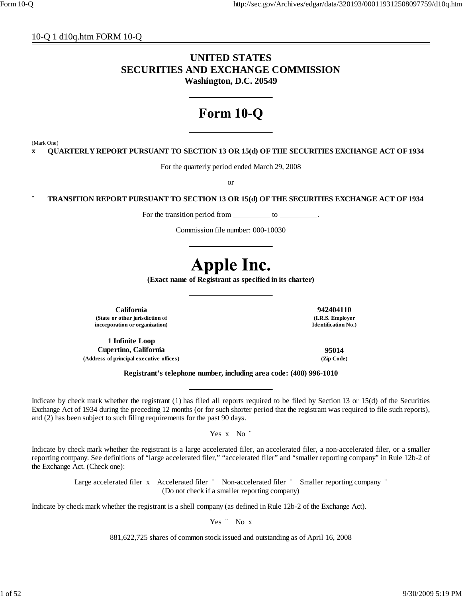### 10-Q 1 d10q.htm FORM 10-Q

### **UNITED STATES SECURITIES AND EXCHANGE COMMISSION Washington, D.C. 20549**

### Form 10-Q

(Mark One)

**x QUARTERLY REPORT PURSUANT TO SECTION 13 OR 15(d) OF THE SECURITIES EXCHANGE ACT OF 1934**

For the quarterly period ended March 29, 2008

or

**¨ TRANSITION REPORT PURSUANT TO SECTION 13 OR 15(d) OF THE SECURITIES EXCHANGE ACT OF 1934**

For the transition period from \_\_\_\_\_\_\_\_\_\_ to \_\_\_\_\_\_\_

Commission file number: 000-10030

# **Apple Inc.**

**(Exact name of Registrant as specified in its charter)**

**California 942404110 (State or other jurisdiction of incorporation or organization)**

**1 Infinite Loop Cupertino, California 95014 (Address of principal executive offices) (Zip Code)**

**(I.R.S. Employer Identification No.)**

**Registrant's telephone number, including area code: (408) 996-1010**

Indicate by check mark whether the registrant (1) has filed all reports required to be filed by Section 13 or 15(d) of the Securities Exchange Act of 1934 during the preceding 12 months (or for such shorter period that the registrant was required to file such reports), and (2) has been subject to such filing requirements for the past 90 days.

Yes x No "

Indicate by check mark whether the registrant is a large accelerated filer, an accelerated filer, a non-accelerated filer, or a smaller reporting company. See definitions of "large accelerated filer," "accelerated filer" and "smaller reporting company" in Rule 12b-2 of the Exchange Act. (Check one):

> Large accelerated filer x Accelerated filer  $\degree$  Non-accelerated filer  $\degree$  Smaller reporting company  $\degree$ (Do not check if a smaller reporting company)

Indicate by check mark whether the registrant is a shell company (as defined in Rule 12b-2 of the Exchange Act).

Yes <sup>"</sup> No x

881,622,725 shares of common stock issued and outstanding as of April 16, 2008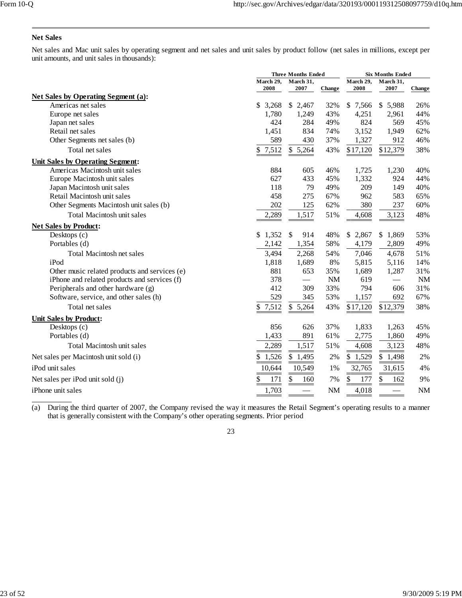Net sales and Mac unit sales by operating segment and net sales and unit sales by product follow (net sales in millions, except per unit amounts, and unit sales in thousands):

|                                               |                   | <b>Three Months Ended</b> |           |                   | <b>Six Months Ended</b> |           |
|-----------------------------------------------|-------------------|---------------------------|-----------|-------------------|-------------------------|-----------|
|                                               | March 29,<br>2008 | March 31,<br>2007         | Change    | March 29,<br>2008 | March 31,<br>2007       | Change    |
| <b>Net Sales by Operating Segment (a):</b>    |                   |                           |           |                   |                         |           |
| Americas net sales                            | \$<br>3,268       | $\mathcal{S}$<br>2,467    | 32%       | \$ 7,566          | \$5,988                 | 26%       |
| Europe net sales                              | 1,780             | 1,249                     | 43%       | 4,251             | 2,961                   | 44%       |
| Japan net sales                               | 424               | 284                       | 49%       | 824               | 569                     | 45%       |
| Retail net sales                              | 1,451             | 834                       | 74%       | 3,152             | 1,949                   | 62%       |
| Other Segments net sales (b)                  | 589               | 430                       | 37%       | 1,327             | 912                     | 46%       |
| Total net sales                               | 7,512<br>\$       | \$5,264                   | 43%       | \$17,120          | \$12,379                | 38%       |
| <b>Unit Sales by Operating Segment:</b>       |                   |                           |           |                   |                         |           |
| Americas Macintosh unit sales                 | 884               | 605                       | 46%       | 1,725             | 1,230                   | 40%       |
| Europe Macintosh unit sales                   | 627               | 433                       | 45%       | 1,332             | 924                     | 44%       |
| Japan Macintosh unit sales                    | 118               | 79                        | 49%       | 209               | 149                     | 40%       |
| Retail Macintosh unit sales                   | 458               | 275                       | 67%       | 962               | 583                     | 65%       |
| Other Segments Macintosh unit sales (b)       | 202               | 125                       | 62%       | 380               | 237                     | 60%       |
| <b>Total Macintosh unit sales</b>             | 2,289             | 1,517                     | 51%       | 4,608             | 3,123                   | 48%       |
| <b>Net Sales by Product:</b>                  |                   |                           |           |                   |                         |           |
| Desktops (c)                                  | 1,352<br>\$       | $\mathcal{S}$<br>914      | 48%       | \$2,867           | \$1,869                 | 53%       |
| Portables (d)                                 | 2,142             | 1,354                     | 58%       | 4,179             | 2,809                   | 49%       |
| Total Macintosh net sales                     | 3,494             | 2,268                     | 54%       | 7,046             | 4,678                   | 51%       |
| iPod                                          | 1,818             | 1,689                     | $8\%$     | 5,815             | 5,116                   | 14%       |
| Other music related products and services (e) | 881               | 653                       | 35%       | 1,689             | 1,287                   | 31%       |
| iPhone and related products and services (f)  | 378               |                           | <b>NM</b> | 619               |                         | <b>NM</b> |
| Peripherals and other hardware (g)            | 412               | 309                       | 33%       | 794               | 606                     | 31%       |
| Software, service, and other sales (h)        | 529               | 345                       | 53%       | 1,157             | 692                     | 67%       |
| Total net sales                               | 7,512<br>\$       | \$<br>5,264               | 43%       | \$17,120          | \$12,379                | 38%       |
| <b>Unit Sales by Product:</b>                 |                   |                           |           |                   |                         |           |
| Desktops (c)                                  | 856               | 626                       | 37%       | 1,833             | 1,263                   | 45%       |
| Portables (d)                                 | 1,433             | 891                       | 61%       | 2,775             | 1,860                   | 49%       |
| Total Macintosh unit sales                    | 2,289             | 1,517                     | 51%       | 4,608             | 3,123                   | 48%       |
| Net sales per Macintosh unit sold (i)         | \$<br>1,526       | \$1,495                   | 2%        | \$1,529           | \$1,498                 | 2%        |
| iPod unit sales                               | 10,644            | 10,549                    | 1%        | 32,765            | 31,615                  | 4%        |
| Net sales per iPod unit sold (j)              | \$<br>171         | \$<br>160                 | 7%        | \$<br>177         | \$<br>162               | 9%        |
| iPhone unit sales                             | 1,703             |                           | NM        | 4,018             |                         | <b>NM</b> |

(a) During the third quarter of 2007, the Company revised the way it measures the Retail Segment's operating results to a manner that is generally consistent with the Company's other operating segments. Prior period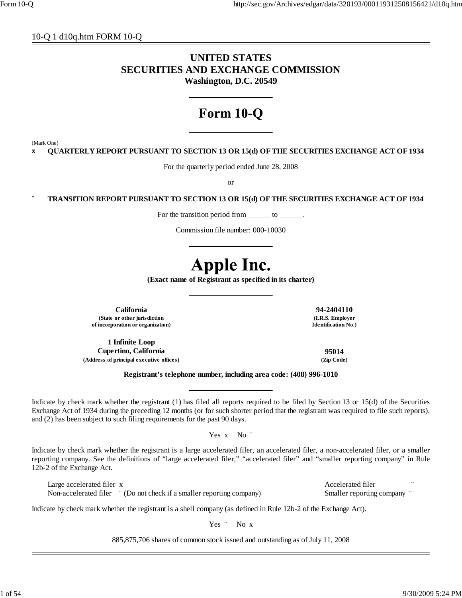10-Q 1 d10q.htm FORM 10-Q

### **UNITED STATES SECURITIES AND EXCHANGE COMMISSION Washington, D.C. 20549**

### Form 10-Q

(Mark One)

**x QUARTERLY REPORT PURSUANT TO SECTION 13 OR 15(d) OF THE SECURITIES EXCHANGE ACT OF 1934**

For the quarterly period ended June 28, 2008

or

**¨ TRANSITION REPORT PURSUANT TO SECTION 13 OR 15(d) OF THE SECURITIES EXCHANGE ACT OF 1934**

For the transition period from \_\_\_\_\_\_ to \_\_\_\_\_

Commission file number: 000-10030

# **Apple Inc.**

**(Exact name of Registrant as specified in its charter)**

**California 94-2404110 (State or other jurisdiction of incorporation or organization)**

**1 Infinite Loop Cupertino, California 95014 (Address of principal executive offices) (Zip Code)**

**(I.R.S. Employer Identification No.)**

**Registrant's telephone number, including area code: (408) 996-1010**

Indicate by check mark whether the registrant (1) has filed all reports required to be filed by Section 13 or 15(d) of the Securities Exchange Act of 1934 during the preceding 12 months (or for such shorter period that the registrant was required to file such reports), and (2) has been subject to such filing requirements for the past 90 days.

Yes x No "

Indicate by check mark whether the registrant is a large accelerated filer, an accelerated filer, a non-accelerated filer, or a smaller reporting company. See the definitions of "large accelerated filer," "accelerated filer" and "smaller reporting company" in Rule 12b-2 of the Exchange Act.

Large accelerated filer x  $\triangle$  Accelerated filer Non-accelerated filer  $\Gamma$  (Do not check if a smaller reporting company) Smaller reporting company  $\Gamma$ 

Indicate by check mark whether the registrant is a shell company (as defined in Rule 12b-2 of the Exchange Act).

Yes " No x

885,875,706 shares of common stock issued and outstanding as of July 11, 2008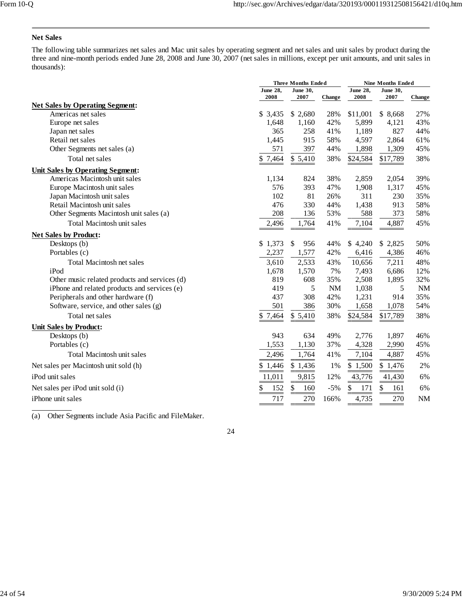The following table summarizes net sales and Mac unit sales by operating segment and net sales and unit sales by product during the three and nine-month periods ended June 28, 2008 and June 30, 2007 (net sales in millions, except per unit amounts, and unit sales in thousands):

|                                               |                         | <b>Three Months Ended</b> | <b>Nine Months Ended</b> |                         |                  |           |  |
|-----------------------------------------------|-------------------------|---------------------------|--------------------------|-------------------------|------------------|-----------|--|
|                                               | <b>June 28,</b><br>2008 | June 30,<br>2007          | Change                   | <b>June 28,</b><br>2008 | June 30,<br>2007 | Change    |  |
| <b>Net Sales by Operating Segment:</b>        |                         |                           |                          |                         |                  |           |  |
| Americas net sales                            | \$3,435                 | \$2,680                   | 28%                      | \$11,001                | \$8,668          | 27%       |  |
| Europe net sales                              | 1,648                   | 1,160                     | 42%                      | 5,899                   | 4,121            | 43%       |  |
| Japan net sales                               | 365                     | 258                       | 41%                      | 1,189                   | 827              | 44%       |  |
| Retail net sales                              | 1,445                   | 915                       | 58%                      | 4,597                   | 2,864            | 61%       |  |
| Other Segments net sales (a)                  | 571                     | 397                       | 44%                      | 1,898                   | 1,309            | 45%       |  |
| Total net sales                               | \$7,464                 | \$5,410                   | 38%                      | \$24,584                | \$17,789         | 38%       |  |
| <b>Unit Sales by Operating Segment:</b>       |                         |                           |                          |                         |                  |           |  |
| Americas Macintosh unit sales                 | 1,134                   | 824                       | 38%                      | 2,859                   | 2,054            | 39%       |  |
| Europe Macintosh unit sales                   | 576                     | 393                       | 47%                      | 1,908                   | 1,317            | 45%       |  |
| Japan Macintosh unit sales                    | 102                     | 81                        | 26%                      | 311                     | 230              | 35%       |  |
| Retail Macintosh unit sales                   | 476                     | 330                       | 44%                      | 1,438                   | 913              | 58%       |  |
| Other Segments Macintosh unit sales (a)       | 208                     | 136                       | 53%                      | 588                     | 373              | 58%       |  |
| <b>Total Macintosh unit sales</b>             | 2,496                   | 1,764                     | 41%                      | 7,104                   | 4,887            | 45%       |  |
| <b>Net Sales by Product:</b>                  |                         |                           |                          |                         |                  |           |  |
| Desktops (b)                                  | \$1,373                 | \$<br>956                 | 44%                      | \$4,240                 | \$2,825          | 50%       |  |
| Portables (c)                                 | 2,237                   | 1,577                     | 42%                      | 6,416                   | 4,386            | 46%       |  |
| Total Macintosh net sales                     | 3,610                   | 2,533                     | 43%                      | 10,656                  | 7,211            | 48%       |  |
| iPod                                          | 1,678                   | 1,570                     | 7%                       | 7,493                   | 6,686            | 12%       |  |
| Other music related products and services (d) | 819                     | 608                       | 35%                      | 2,508                   | 1,895            | 32%       |  |
| iPhone and related products and services (e)  | 419                     | 5                         | <b>NM</b>                | 1,038                   | 5                | <b>NM</b> |  |
| Peripherals and other hardware (f)            | 437                     | 308                       | 42%                      | 1,231                   | 914              | 35%       |  |
| Software, service, and other sales (g)        | 501                     | 386                       | 30%                      | 1,658                   | 1,078            | 54%       |  |
| Total net sales                               | \$7,464                 | \$5,410                   | 38%                      | \$24,584                | \$17,789         | 38%       |  |
| <b>Unit Sales by Product:</b>                 |                         |                           |                          |                         |                  |           |  |
| Desktops (b)                                  | 943                     | 634                       | 49%                      | 2,776                   | 1,897            | 46%       |  |
| Portables (c)                                 | 1,553                   | 1,130                     | 37%                      | 4,328                   | 2,990            | 45%       |  |
| Total Macintosh unit sales                    | 2,496                   | 1,764                     | 41%                      | 7,104                   | 4,887            | 45%       |  |
| Net sales per Macintosh unit sold (h)         | 1,446<br>\$             | \$1,436                   | 1%                       | \$1,500                 | \$1,476          | 2%        |  |
| iPod unit sales                               | 11,011                  | 9,815                     | 12%                      | 43,776                  | 41,430           | 6%        |  |
| Net sales per iPod unit sold (i)              | \$<br>152               | \$<br>160                 | $-5%$                    | 171<br>S                | \$<br>161        | 6%        |  |
| iPhone unit sales                             | 717                     | 270                       | 166%                     | 4,735                   | 270              | <b>NM</b> |  |

(a) Other Segments include Asia Pacific and FileMaker.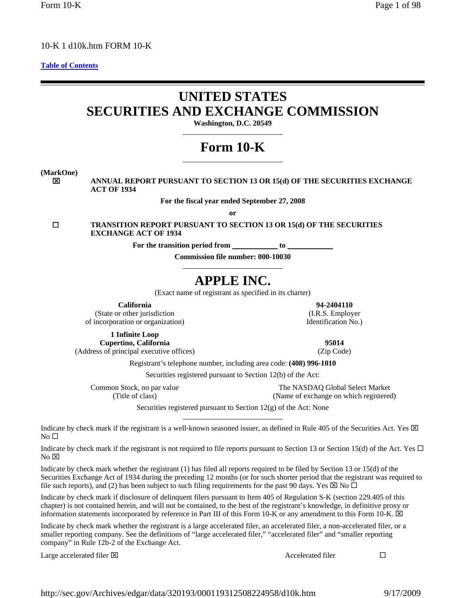### 10-K 1 d10k.htm FORM 10-K

### **Table of Contents**

í l

# **UNITED STATES SECURITIES AND EXCHANGE COMMISSION**

**Washington, D.C. 20549** 

### **Form 10-K**

### **(MarkOne)**

### ⌧ **ANNUAL REPORT PURSUANT TO SECTION 13 OR 15(d) OF THE SECURITIES EXCHANGE ACT OF 1934**

**For the fiscal year ended September 27, 2008** 

**or** 

 **TRANSITION REPORT PURSUANT TO SECTION 13 OR 15(d) OF THE SECURITIES EXCHANGE ACT OF 1934** 

For the transition period from \_\_\_\_\_\_\_\_\_\_\_ to \_

**Commission file number: 000-10030** 

### **APPLE INC.**

(Exact name of registrant as specified in its charter)

**California 94-2404110**

(State or other jurisdiction of incorporation or organization)

> **1 Infinite Loop Cupertino, California 95014**

(I.R.S. Employer Identification No.)

(Address of principal executive offices) (Zip Code)

Registrant's telephone number, including area code: **(408) 996-1010** 

Securities registered pursuant to Section 12(b) of the Act:

Common Stock, no par value The NASDAQ Global Select Market (Title of class) (Name of exchange on which registered)

Securities registered pursuant to Section 12(g) of the Act: None

Indicate by check mark if the registrant is a well-known seasoned issuer, as defined in Rule 405 of the Securities Act. Yes  $\boxtimes$ No  $\square$ 

Indicate by check mark if the registrant is not required to file reports pursuant to Section 13 or Section 15(d) of the Act. Yes  $\Box$ No  $\boxtimes$ 

Indicate by check mark whether the registrant (1) has filed all reports required to be filed by Section 13 or 15(d) of the Securities Exchange Act of 1934 during the preceding 12 months (or for such shorter period that the registrant was required to file such reports), and (2) has been subject to such filing requirements for the past 90 days. Yes  $\boxtimes$  No  $\Box$ 

Indicate by check mark if disclosure of delinquent filers pursuant to Item 405 of Regulation S-K (section 229.405 of this chapter) is not contained herein, and will not be contained, to the best of the registrant's knowledge, in definitive proxy or information statements incorporated by reference in Part III of this Form 10-K or any amendment to this Form 10-K.  $\boxtimes$ 

Indicate by check mark whether the registrant is a large accelerated filer, an accelerated filer, a non-accelerated filer, or a smaller reporting company. See the definitions of "large accelerated filer," "accelerated filer" and "smaller reporting company" in Rule 12b-2 of the Exchange Act.

Large accelerated filer  $\boxtimes$ 

http://sec.gov/Archives/edgar/data/320193/000119312508224958/d10k.htm 9/17/2009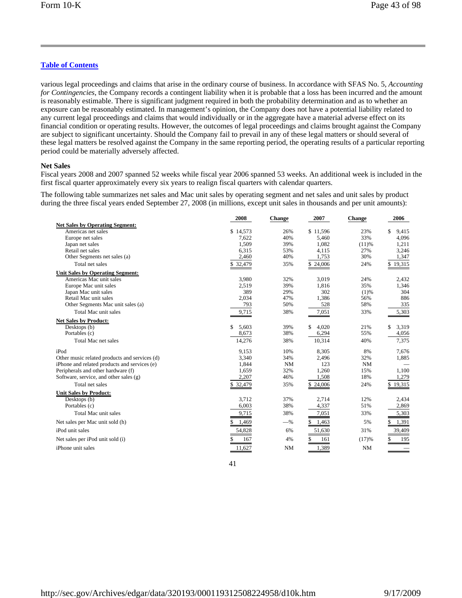#### **Table of Contents**

various legal proceedings and claims that arise in the ordinary course of business. In accordance with SFAS No. 5, *Accounting for Contingencies*, the Company records a contingent liability when it is probable that a loss has been incurred and the amount is reasonably estimable. There is significant judgment required in both the probability determination and as to whether an exposure can be reasonably estimated. In management's opinion, the Company does not have a potential liability related to any current legal proceedings and claims that would individually or in the aggregate have a material adverse effect on its financial condition or operating results. However, the outcomes of legal proceedings and claims brought against the Company are subject to significant uncertainty. Should the Company fail to prevail in any of these legal matters or should several of these legal matters be resolved against the Company in the same reporting period, the operating results of a particular reporting period could be materially adversely affected.

#### **Net Sales**

Fiscal years 2008 and 2007 spanned 52 weeks while fiscal year 2006 spanned 53 weeks. An additional week is included in the first fiscal quarter approximately every six years to realign fiscal quarters with calendar quarters.

The following table summarizes net sales and Mac unit sales by operating segment and net sales and unit sales by product during the three fiscal years ended September 27, 2008 (in millions, except unit sales in thousands and per unit amounts):

|                                               | 2008        | Change    | 2007        | Change    | 2006        |
|-----------------------------------------------|-------------|-----------|-------------|-----------|-------------|
| <b>Net Sales by Operating Segment:</b>        |             |           |             |           |             |
| Americas net sales                            | \$14,573    | 26%       | \$11,596    | 23%       | 9,415<br>\$ |
| Europe net sales                              | 7,622       | 40%       | 5,460       | 33%       | 4,096       |
| Japan net sales                               | 1,509       | 39%       | 1,082       | (11)%     | 1,211       |
| Retail net sales                              | 6,315       | 53%       | 4,115       | 27%       | 3,246       |
| Other Segments net sales (a)                  | 2,460       | 40%       | 1,753       | 30%       | 1,347       |
| Total net sales                               | \$ 32,479   | 35%       | \$ 24,006   | 24%       | \$19,315    |
| <b>Unit Sales by Operating Segment:</b>       |             |           |             |           |             |
| Americas Mac unit sales                       | 3,980       | 32%       | 3,019       | 24%       | 2,432       |
| Europe Mac unit sales                         | 2,519       | 39%       | 1,816       | 35%       | 1,346       |
| Japan Mac unit sales                          | 389         | 29%       | 302         | (1)%      | 304         |
| Retail Mac unit sales                         | 2,034       | 47%       | 1,386       | 56%       | 886         |
| Other Segments Mac unit sales (a)             | 793         | 50%       | 528         | 58%       | 335         |
| Total Mac unit sales                          | 9,715       | 38%       | 7,051       | 33%       | 5,303       |
| <b>Net Sales by Product:</b>                  |             |           |             |           |             |
| Desktops (b)                                  | \$<br>5,603 | 39%       | \$<br>4,020 | 21%       | 3,319<br>S  |
| Portables (c)                                 | 8,673       | 38%       | 6,294       | 55%       | 4,056       |
| Total Mac net sales                           | 14,276      | 38%       | 10,314      | 40%       | 7,375       |
| iPod                                          | 9,153       | 10%       | 8,305       | 8%        | 7,676       |
| Other music related products and services (d) | 3,340       | 34%       | 2,496       | 32%       | 1,885       |
| iPhone and related products and services (e)  | 1,844       | <b>NM</b> | 123         | NM        |             |
| Peripherals and other hardware (f)            | 1,659       | 32%       | 1,260       | 15%       | 1,100       |
| Software, service, and other sales (g)        | 2,207       | 46%       | 1,508       | 18%       | 1,279       |
| Total net sales                               | \$ 32,479   | 35%       | \$ 24,006   | 24%       | \$19,315    |
| <b>Unit Sales by Product:</b>                 |             |           |             |           |             |
| Desktops (b)                                  | 3.712       | 37%       | 2.714       | 12%       | 2,434       |
| Portables (c)                                 | 6,003       | 38%       | 4,337       | 51%       | 2,869       |
| Total Mac unit sales                          | 9,715       | 38%       | 7,051       | 33%       | 5,303       |
| Net sales per Mac unit sold (h)               | 1,469       | $-$ %     | 1,463       | 5%        | 1,391       |
| iPod unit sales                               | 54,828      | 6%        | 51,630      | 31%       | 39,409      |
| Net sales per iPod unit sold (i)              | 167         | 4%        | 161         | (17)%     | 195         |
| iPhone unit sales                             | 11,627      | <b>NM</b> | 1,389       | <b>NM</b> |             |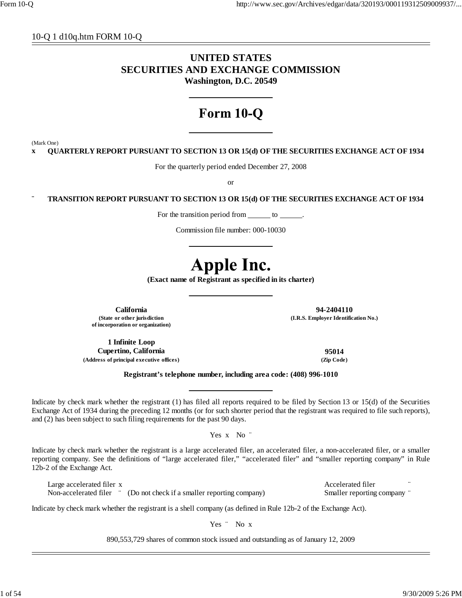### 10-Q 1 d10q.htm FORM 10-Q

### **UNITED STATES SECURITIES AND EXCHANGE COMMISSION Washington, D.C. 20549**

### Form 10-Q

(Mark One)

**x QUARTERLY REPORT PURSUANT TO SECTION 13 OR 15(d) OF THE SECURITIES EXCHANGE ACT OF 1934**

For the quarterly period ended December 27, 2008

or

**¨ TRANSITION REPORT PURSUANT TO SECTION 13 OR 15(d) OF THE SECURITIES EXCHANGE ACT OF 1934**

For the transition period from \_\_\_\_\_\_ to \_\_\_\_\_

Commission file number: 000-10030

# **Apple Inc.**

**(Exact name of Registrant as specified in its charter)**

**(State or other jurisdiction of incorporation or organization)**

**1 Infinite Loop Cupertino, California 95014 (Address of principal executive offices) (Zip Code)**

**California 94-2404110 (I.R.S. Employer Identification No.)**

**Registrant's telephone number, including area code: (408) 996-1010**

Indicate by check mark whether the registrant (1) has filed all reports required to be filed by Section 13 or 15(d) of the Securities Exchange Act of 1934 during the preceding 12 months (or for such shorter period that the registrant was required to file such reports), and (2) has been subject to such filing requirements for the past 90 days.

Yes x No "

Indicate by check mark whether the registrant is a large accelerated filer, an accelerated filer, a non-accelerated filer, or a smaller reporting company. See the definitions of "large accelerated filer," "accelerated filer" and "smaller reporting company" in Rule 12b-2 of the Exchange Act.

Large accelerated filer x  $\triangle$  Accelerated filer Non-accelerated filer  $\therefore$  (Do not check if a smaller reporting company) Smaller reporting company  $\therefore$ 

Indicate by check mark whether the registrant is a shell company (as defined in Rule 12b-2 of the Exchange Act).

Yes  $\degree$  No x

890,553,729 shares of common stock issued and outstanding as of January 12, 2009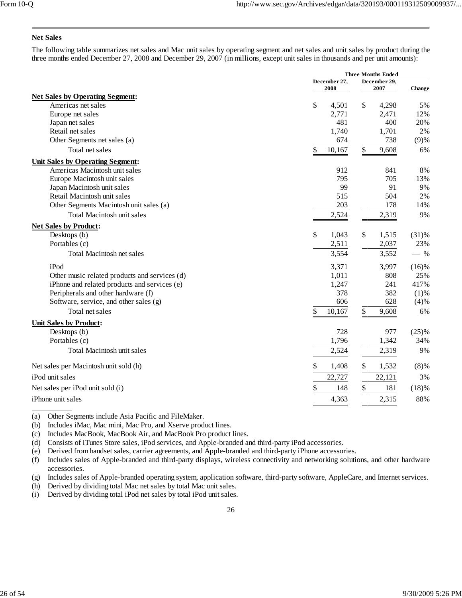The following table summarizes net sales and Mac unit sales by operating segment and net sales and unit sales by product during the three months ended December 27, 2008 and December 29, 2007 (in millions, except unit sales in thousands and per unit amounts):

|                                               |                      | <b>Three Months Ended</b> |          |  |
|-----------------------------------------------|----------------------|---------------------------|----------|--|
|                                               | December 27,<br>2008 | December 29,<br>2007      | Change   |  |
| <b>Net Sales by Operating Segment:</b>        |                      |                           |          |  |
| Americas net sales                            | \$<br>4,501          | \$<br>4,298               | 5%       |  |
| Europe net sales                              | 2,771                | 2,471                     | 12%      |  |
| Japan net sales                               | 481                  | 400                       | 20%      |  |
| Retail net sales                              | 1,740                | 1,701                     | 2%       |  |
| Other Segments net sales (a)                  | 674                  | 738                       | (9)%     |  |
| Total net sales                               | \$<br>10,167         | \$<br>9,608               | 6%       |  |
| <b>Unit Sales by Operating Segment:</b>       |                      |                           |          |  |
| Americas Macintosh unit sales                 | 912                  | 841                       | 8%       |  |
| Europe Macintosh unit sales                   | 795                  | 705                       | 13%      |  |
| Japan Macintosh unit sales                    | 99                   | 91                        | 9%       |  |
| Retail Macintosh unit sales                   | 515                  | 504                       | 2%       |  |
| Other Segments Macintosh unit sales (a)       | 203                  | 178                       | 14%      |  |
| <b>Total Macintosh unit sales</b>             | 2,524                | 2,319                     | 9%       |  |
| <b>Net Sales by Product:</b>                  |                      |                           |          |  |
| Desktops (b)                                  | \$<br>1,043          | \$<br>1,515               | (31)%    |  |
| Portables (c)                                 | 2,511                | 2,037                     | 23%      |  |
| <b>Total Macintosh net sales</b>              | 3,554                | 3,552                     | $-$ %    |  |
| iPod                                          | 3,371                | 3,997                     | $(16)$ % |  |
| Other music related products and services (d) | 1,011                | 808                       | 25%      |  |
| iPhone and related products and services (e)  | 1,247                | 241                       | 417%     |  |
| Peripherals and other hardware (f)            | 378                  | 382                       | (1)%     |  |
| Software, service, and other sales (g)        | 606                  | 628                       | (4)%     |  |
| Total net sales                               | \$<br>10,167         | \$<br>9,608               | 6%       |  |
| <b>Unit Sales by Product:</b>                 |                      |                           |          |  |
| Desktops (b)                                  | 728                  | 977                       | (25)%    |  |
| Portables (c)                                 | 1,796                | 1,342                     | 34%      |  |
| Total Macintosh unit sales                    | 2,524                | 2,319                     | 9%       |  |
| Net sales per Macintosh unit sold (h)         | \$<br>1,408          | \$<br>1,532               | (8)%     |  |
| iPod unit sales                               | 22,727               | 22,121                    | 3%       |  |
| Net sales per iPod unit sold (i)              | \$<br>148            | \$<br>181                 | (18)%    |  |
| iPhone unit sales                             | 4,363                | 2,315                     | 88%      |  |

(a) Other Segments include Asia Pacific and FileMaker.

(b) Includes iMac, Mac mini, Mac Pro, and Xserve product lines.

(c) Includes MacBook, MacBook Air, and MacBook Pro product lines.

(d) Consists of iTunes Store sales, iPod services, and Apple-branded and third-party iPod accessories.

(e) Derived from handset sales, carrier agreements, and Apple-branded and third-party iPhone accessories.

(f) Includes sales of Apple-branded and third-party displays, wireless connectivity and networking solutions, and other hardware accessories.

(g) Includes sales of Apple-branded operating system, application software, third-party software, AppleCare, and Internet services.

(h) Derived by dividing total Mac net sales by total Mac unit sales.

(i) Derived by dividing total iPod net sales by total iPod unit sales.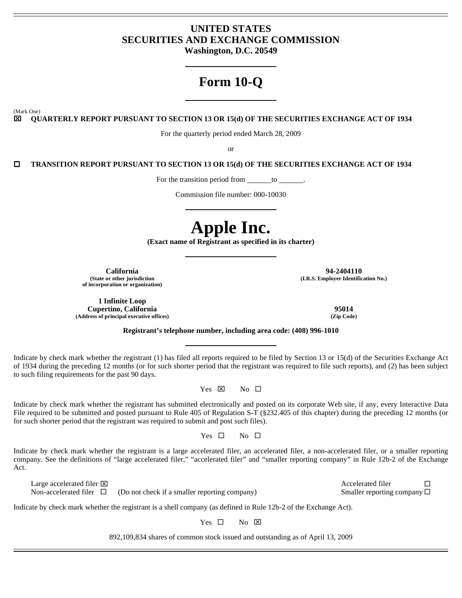### **UNITED STATES SECURITIES AND EXCHANGE COMMISSION Washington, D.C. 20549**

### **Form 10-Q**

L

 $\overline{a}$ 

(Mark One)

 $\overline{a}$ 

 $\overline{a}$ 

### **QUARTERLY REPORT PURSUANT TO SECTION 13 OR 15(d) OF THE SECURITIES EXCHANGE ACT OF 1934**

For the quarterly period ended March 28, 2009

or

### **TRANSITION REPORT PURSUANT TO SECTION 13 OR 15(d) OF THE SECURITIES EXCHANGE ACT OF 1934**

For the transition period from \_\_\_\_\_\_ to \_\_\_\_\_\_

Commission file number: 000-10030 l

# **Apple Inc.**

**(Exact name of Registrant as specified in its charter)**   $\overline{a}$ 

**(State or other jurisdiction of incorporation or organization)** 

**1 Infinite Loop Cupertino, California** 95014 **95014 Properting the Second Properties** 95014 **Properties** 95014 (Address of principal executive offices)

**California 94-2404110 (I.R.S. Employer Identification No.)** 

### **Registrant's telephone number, including area code: (408) 996-1010**   $\overline{a}$

Indicate by check mark whether the registrant (1) has filed all reports required to be filed by Section 13 or 15(d) of the Securities Exchange Act of 1934 during the preceding 12 months (or for such shorter period that the registrant was required to file such reports), and (2) has been subject to such filing requirements for the past 90 days.

Yes  $\boxtimes$  No  $\Box$ 

Indicate by check mark whether the registrant has submitted electronically and posted on its corporate Web site, if any, every Interactive Data File required to be submitted and posted pursuant to Rule 405 of Regulation S-T (§232.405 of this chapter) during the preceding 12 months (or for such shorter period that the registrant was required to submit and post such files).

Yes  $\square$  No  $\square$ 

Indicate by check mark whether the registrant is a large accelerated filer, an accelerated filer, a non-accelerated filer, or a smaller reporting company. See the definitions of "large accelerated filer," "accelerated filer" and "smaller reporting company" in Rule 12b-2 of the Exchange Act.

Large accelerated filer  $\Box$ Non-accelerated filer  $\Box$  (Do not check if a smaller reporting company) Smaller reporting company  $\Box$ 

Indicate by check mark whether the registrant is a shell company (as defined in Rule 12b-2 of the Exchange Act).

Yes  $\square$  No  $\square$ 

892,109,834 shares of common stock issued and outstanding as of April 13, 2009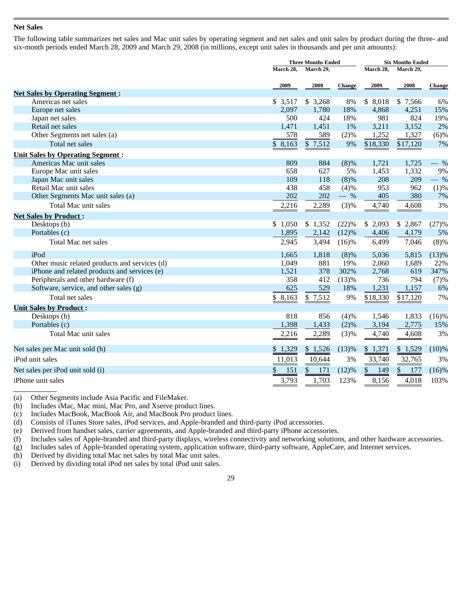L

The following table summarizes net sales and Mac unit sales by operating segment and net sales and unit sales by product during the three- and six-month periods ended March 28, 2009 and March 29, 2008 (in millions, except unit sales in thousands and per unit amounts):

|                                               |           | <b>Three Months Ended</b> |               |           | <b>Six Months Ended</b> |          |  |  |
|-----------------------------------------------|-----------|---------------------------|---------------|-----------|-------------------------|----------|--|--|
|                                               | March 28, | March 29,                 |               | March 28, | March 29,               |          |  |  |
|                                               | 2009      | 2008                      | <b>Change</b> | 2009      | 2008                    | Change   |  |  |
| <b>Net Sales by Operating Segment:</b>        |           |                           |               |           |                         |          |  |  |
| Americas net sales                            | \$3,517   | \$3,268                   | 8%            | \$8,018   | \$ 7,566                | 6%       |  |  |
| Europe net sales                              | 2,097     | 1,780                     | 18%           | 4,868     | 4,251                   | 15%      |  |  |
| Japan net sales                               | 500       | 424                       | 18%           | 981       | 824                     | 19%      |  |  |
| Retail net sales                              | 1,471     | 1,451                     | 1%            | 3,211     | 3,152                   | 2%       |  |  |
| Other Segments net sales (a)                  | 578       | 589                       | (2)%          | 1,252     | 1,327                   | (6)%     |  |  |
| Total net sales                               | \$8,163   | \$7,512                   | 9%            | \$18,330  | \$17,120                | 7%       |  |  |
| <b>Unit Sales by Operating Segment:</b>       |           |                           |               |           |                         |          |  |  |
| Americas Mac unit sales                       | 809       | 884                       | $(8)$ %       | 1,721     | 1,725                   | - %      |  |  |
| Europe Mac unit sales                         | 658       | 627                       | 5%            | 1,453     | 1,332                   | 9%       |  |  |
| Japan Mac unit sales                          | 109       | 118                       | (8)%          | 208       | 209                     | $-$ %    |  |  |
| Retail Mac unit sales                         | 438       | 458                       | (4)%          | 953       | 962                     | (1)%     |  |  |
| Other Segments Mac unit sales (a)             | 202       | 202                       | $-$ %         | 405       | 380                     | 7%       |  |  |
| Total Mac unit sales                          | 2,216     | 2,289                     | (3)%          | 4,740     | 4,608                   | 3%       |  |  |
| <b>Net Sales by Product:</b>                  |           |                           |               |           |                         |          |  |  |
| Desktops (b)                                  | \$1,050   | \$1,352                   | (22)%         | \$2,093   | \$2,867                 | (27)%    |  |  |
| Portables (c)                                 | 1,895     | 2,142                     | (12)%         | 4,406     | 4,179                   | 5%       |  |  |
| Total Mac net sales                           | 2,945     | 3,494                     | $(16)$ %      | 6,499     | 7,046                   | (8)%     |  |  |
| iPod                                          | 1,665     | 1,818                     | (8)%          | 5,036     | 5,815                   | (13)%    |  |  |
| Other music related products and services (d) | 1,049     | 881                       | 19%           | 2,060     | 1,689                   | 22%      |  |  |
| iPhone and related products and services (e)  | 1,521     | 378                       | 302%          | 2,768     | 619                     | 347%     |  |  |
| Peripherals and other hardware (f)            | 358       | 412                       | (13)%         | 736       | 794                     | (7)%     |  |  |
| Software, service, and other sales (g)        | 625       | 529                       | 18%           | 1,231     | 1,157                   | 6%       |  |  |
| Total net sales                               | \$8,163   | \$7,512                   | 9%            | \$18,330  | \$17,120                | 7%       |  |  |
| <b>Unit Sales by Product:</b>                 |           |                           |               |           |                         |          |  |  |
| Desktops (b)                                  | 818       | 856                       | (4)%          | 1,546     | 1,833                   | $(16)$ % |  |  |
| Portables (c)                                 | 1,398     | 1,433                     | (2)%          | 3,194     | 2,775                   | 15%      |  |  |
| Total Mac unit sales                          | 2,216     | 2,289                     | (3)%          | 4,740     | 4,608                   | 3%       |  |  |
| Net sales per Mac unit sold (h)               | \$1,329   | \$1,526                   | (13)%         | \$1,371   | \$1,529                 | $(10)$ % |  |  |
| iPod unit sales                               | 11,013    | 10,644                    | 3%            | 33,740    | 32,765                  | 3%       |  |  |
| Net sales per iPod unit sold (i)              | \$<br>151 | \$<br>171                 | (12)%         | \$<br>149 | $\mathbb{S}$<br>177     | $(16)$ % |  |  |
| iPhone unit sales                             | 3,793     | 1,703                     | 123%          | 8,156     | 4,018                   | 103%     |  |  |

(a) Other Segments include Asia Pacific and FileMaker.

(b) Includes iMac, Mac mini, Mac Pro, and Xserve product lines.

(c) Includes MacBook, MacBook Air, and MacBook Pro product lines.

(d) Consists of iTunes Store sales, iPod services, and Apple-branded and third-party iPod accessories.

(e) Derived from handset sales, carrier agreements, and Apple-branded and third-party iPhone accessories.

(f) Includes sales of Apple-branded and third-party displays, wireless connectivity and networking solutions, and other hardware accessories.

(g) Includes sales of Apple-branded operating system, application software, third-party software, AppleCare, and Internet services.

(h) Derived by dividing total Mac net sales by total Mac unit sales.

(i) Derived by dividing total iPod net sales by total iPod unit sales.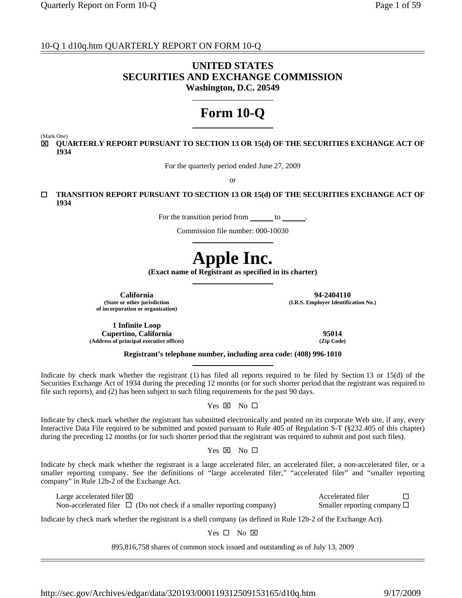### 10-Q 1 d10q.htm QUARTERLY REPORT ON FORM 10-Q

### **UNITED STATES SECURITIES AND EXCHANGE COMMISSION Washington, D.C. 20549**

### **Form 10-Q**

(Mark One)

⌧ **QUARTERLY REPORT PURSUANT TO SECTION 13 OR 15(d) OF THE SECURITIES EXCHANGE ACT OF 1934** 

For the quarterly period ended June 27, 2009

or

 **TRANSITION REPORT PURSUANT TO SECTION 13 OR 15(d) OF THE SECURITIES EXCHANGE ACT OF 1934** 

For the transition period from \_\_\_\_\_\_\_ to \_

Commission file number: 000-10030

# **Apple Inc.**

**(Exact name of Registrant as specified in its charter)** 

**California 94-2404110 (State or other jurisdiction of incorporation or organization)**

**1 Infinite Loop Cupertino, California 95014**<br> **Parameters Principal executive offices**) **Parameters Principal executive offices**  $(Address of principal executive offices)$ 

**(I.R.S. Employer Identification No.)**

**Registrant's telephone number, including area code: (408) 996-1010** 

Indicate by check mark whether the registrant (1) has filed all reports required to be filed by Section 13 or 15(d) of the Securities Exchange Act of 1934 during the preceding 12 months (or for such shorter period that the registrant was required to file such reports), and (2) has been subject to such filing requirements for the past 90 days.

Yes  $\boxtimes$  No  $\square$ 

Indicate by check mark whether the registrant has submitted electronically and posted on its corporate Web site, if any, every Interactive Data File required to be submitted and posted pursuant to Rule 405 of Regulation S-T (§232.405 of this chapter) during the preceding 12 months (or for such shorter period that the registrant was required to submit and post such files).

### Yes  $\boxtimes$  No  $\square$

Indicate by check mark whether the registrant is a large accelerated filer, an accelerated filer, a non-accelerated filer, or a smaller reporting company. See the definitions of "large accelerated filer," "accelerated filer" and "smaller reporting company" in Rule 12b-2 of the Exchange Act.

Large accelerated filer  $\boxtimes$ Non-accelerated filer  $\Box$  (Do not check if a smaller reporting company) Smaller reporting company  $\Box$ 

Indicate by check mark whether the registrant is a shell company (as defined in Rule 12b-2 of the Exchange Act).

Yes  $\square$  No  $\square$ 

895,816,758 shares of common stock issued and outstanding as of July 13, 2009

http://sec.gov/Archives/edgar/data/320193/000119312509153165/d10q.htm 9/17/2009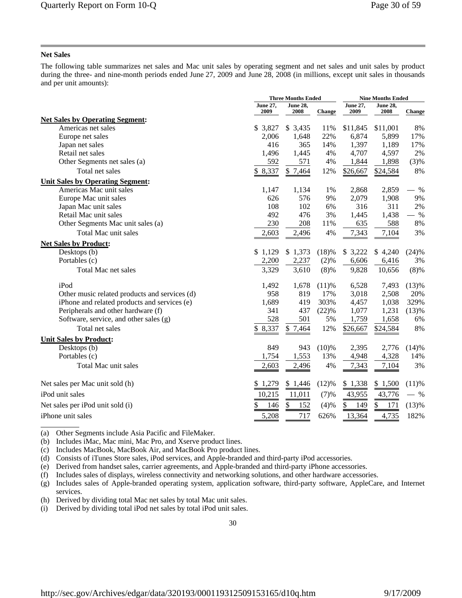The following table summarizes net sales and Mac unit sales by operating segment and net sales and unit sales by product during the three- and nine-month periods ended June 27, 2009 and June 28, 2008 (in millions, except unit sales in thousands and per unit amounts):

|                                               |                  | <b>Three Months Ended</b> |          |                  | <b>Nine Months Ended</b> |        |  |  |
|-----------------------------------------------|------------------|---------------------------|----------|------------------|--------------------------|--------|--|--|
|                                               | June 27,<br>2009 | June 28,<br>2008          | Change   | June 27,<br>2009 | June 28,<br>2008         | Change |  |  |
| <b>Net Sales by Operating Segment:</b>        |                  |                           |          |                  |                          |        |  |  |
| Americas net sales                            | \$3,827          | \$ 3,435                  | 11%      | \$11,845         | \$11,001                 | 8%     |  |  |
| Europe net sales                              | 2,006            | 1,648                     | 22%      | 6,874            | 5,899                    | 17%    |  |  |
| Japan net sales                               | 416              | 365                       | 14%      | 1,397            | 1,189                    | 17%    |  |  |
| Retail net sales                              | 1,496            | 1,445                     | 4%       | 4,707            | 4,597                    | 2%     |  |  |
| Other Segments net sales (a)                  | 592              | 571                       | 4%       | 1,844            | 1,898                    | (3)%   |  |  |
| Total net sales                               | \$ 8,337         | \$7,464                   | 12%      | \$26,667         | \$24,584                 | 8%     |  |  |
| <b>Unit Sales by Operating Segment:</b>       |                  |                           |          |                  |                          |        |  |  |
| Americas Mac unit sales                       | 1,147            | 1,134                     | 1%       | 2,868            | 2,859                    | $-$ %  |  |  |
| Europe Mac unit sales                         | 626              | 576                       | 9%       | 2,079            | 1,908                    | 9%     |  |  |
| Japan Mac unit sales                          | 108              | 102                       | 6%       | 316              | 311                      | 2%     |  |  |
| Retail Mac unit sales                         | 492              | 476                       | 3%       | 1,445            | 1,438                    | $-$ %  |  |  |
| Other Segments Mac unit sales (a)             | 230              | 208                       | 11%      | 635              | 588                      | 8%     |  |  |
| Total Mac unit sales                          | 2,603            | 2,496                     | 4%       | 7,343            | 7,104                    | 3%     |  |  |
| <b>Net Sales by Product:</b>                  |                  |                           |          |                  |                          |        |  |  |
| Desktops (b)                                  | \$1,129          | \$1,373                   | (18)%    | \$3,222          | \$4,240                  | (24)%  |  |  |
| Portables (c)                                 | 2,200            | 2,237                     | (2)%     | 6,606            | 6,416                    | 3%     |  |  |
| Total Mac net sales                           | 3,329            | 3,610                     | (8)%     | 9,828            | 10,656                   | (8)%   |  |  |
| iPod                                          | 1,492            | 1,678                     | $(11)$ % | 6,528            | 7,493                    | (13)%  |  |  |
| Other music related products and services (d) | 958              | 819                       | 17%      | 3,018            | 2,508                    | 20%    |  |  |
| iPhone and related products and services (e)  | 1,689            | 419                       | 303%     | 4,457            | 1,038                    | 329%   |  |  |
| Peripherals and other hardware (f)            | 341              | 437                       | (22)%    | 1,077            | 1,231                    | (13)%  |  |  |
| Software, service, and other sales (g)        | 528              | 501                       | 5%       | 1,759            | 1,658                    | 6%     |  |  |
| Total net sales                               | \$8,337          | \$7,464                   | 12%      | \$26,667         | \$24,584                 | 8%     |  |  |
| <b>Unit Sales by Product:</b>                 |                  |                           |          |                  |                          |        |  |  |
| Desktops (b)                                  | 849              | 943                       | (10)%    | 2,395            | 2,776                    | (14)%  |  |  |
| Portables (c)                                 | 1,754            | 1,553                     | 13%      | 4,948            | 4,328                    | 14%    |  |  |
| Total Mac unit sales                          | 2,603            | 2,496                     | 4%       | 7,343            | 7,104                    | 3%     |  |  |
| Net sales per Mac unit sold (h)               | \$1,279          | \$1,446                   | (12)%    | \$1,338          | \$1,500                  | (11)%  |  |  |
| iPod unit sales                               | 10,215           | 11,011                    | (7)%     | 43,955           | 43,776                   | $-$ %  |  |  |
| Net sales per iPod unit sold (i)              | 146              | \$<br>152                 | (4)%     | 149<br>\$        | \$<br>171                | (13)%  |  |  |
| iPhone unit sales                             | 5,208            | 717                       | 626%     | 13,364           | 4,735                    | 182%   |  |  |

(a) Other Segments include Asia Pacific and FileMaker.

(b) Includes iMac, Mac mini, Mac Pro, and Xserve product lines.

(c) Includes MacBook, MacBook Air, and MacBook Pro product lines.

(d) Consists of iTunes Store sales, iPod services, and Apple-branded and third-party iPod accessories.

(e) Derived from handset sales, carrier agreements, and Apple-branded and third-party iPhone accessories.

(f) Includes sales of displays, wireless connectivity and networking solutions, and other hardware accessories.

(g) Includes sales of Apple-branded operating system, application software, third-party software, AppleCare, and Internet services.

(h) Derived by dividing total Mac net sales by total Mac unit sales.

(i) Derived by dividing total iPod net sales by total iPod unit sales.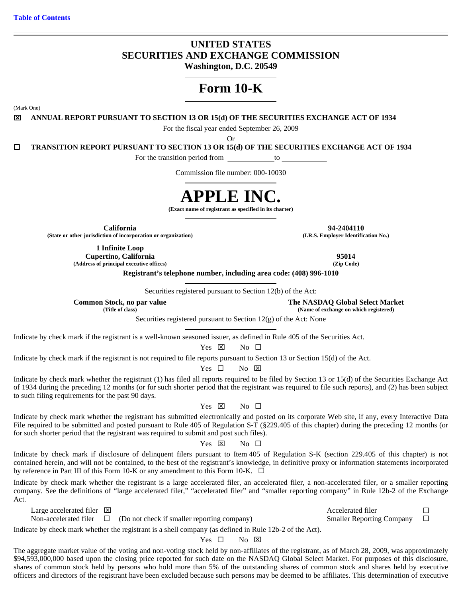### **UNITED STATES SECURITIES AND EXCHANGE COMMISSION**

**Washington, D.C. 20549**   $\overline{a}$ 

### **Form 10-K**   $\overline{a}$

(Mark One)

 $\overline{a}$ 

**ANNUAL REPORT PURSUANT TO SECTION 13 OR 15(d) OF THE SECURITIES EXCHANGE ACT OF 1934** 

For the fiscal year ended September 26, 2009

Or

**TRANSITION REPORT PURSUANT TO SECTION 13 OR 15(d) OF THE SECURITIES EXCHANGE ACT OF 1934** 

For the transition period from \_\_\_\_\_\_\_\_\_\_\_\_\_to \_

Commission file number: 000-10030 l.

# **APPLE INC.**

**(Exact name of registrant as specified in its charter)**   $\overline{a}$ 

**California 94-2404110 (State or other jurisdiction of incorporation or organization) (I.R.S. Employer Identification No.)** 

**1 Infinite Loop Cupertino, California 95014 (Address of principal executive offices) (Zip Code)** 

**Registrant's telephone number, including area code: (408) 996-1010** 

Securities registered pursuant to Section 12(b) of the Act:  $\overline{a}$ 

**Common Stock, no par value** The NASDAQ Global Select Market (Title of class)<br>(Title of class) (Title of class) **(Title of class) (Name of exchange on which registered)** 

Securities registered pursuant to Section 12(g) of the Act: None

Indicate by check mark if the registrant is a well-known seasoned issuer, as defined in Rule 405 of the Securities Act.

Yes  $\boxtimes$  No  $\Box$ 

 $\overline{a}$ 

Indicate by check mark if the registrant is not required to file reports pursuant to Section 13 or Section 15(d) of the Act.

Yes  $\square$  No  $\square$ 

Indicate by check mark whether the registrant (1) has filed all reports required to be filed by Section 13 or 15(d) of the Securities Exchange Act of 1934 during the preceding 12 months (or for such shorter period that the registrant was required to file such reports), and (2) has been subject to such filing requirements for the past 90 days.

Yes  $\boxtimes$  No  $\Box$ 

Indicate by check mark whether the registrant has submitted electronically and posted on its corporate Web site, if any, every Interactive Data File required to be submitted and posted pursuant to Rule 405 of Regulation S-T (§229.405 of this chapter) during the preceding 12 months (or for such shorter period that the registrant was required to submit and post such files).

Yes  $\boxtimes$  No  $\Box$ 

Indicate by check mark if disclosure of delinquent filers pursuant to Item 405 of Regulation S-K (section 229.405 of this chapter) is not contained herein, and will not be contained, to the best of the registrant's knowledge, in definitive proxy or information statements incorporated by reference in Part III of this Form 10-K or any amendment to this Form 10-K.  $\Box$ 

Indicate by check mark whether the registrant is a large accelerated filer, an accelerated filer, a non-accelerated filer, or a smaller reporting company. See the definitions of "large accelerated filer," "accelerated filer" and "smaller reporting company" in Rule 12b-2 of the Exchange Act.

Large accelerated filer  $\boxtimes$ Non-accelerated filer  $\Box$  (Do not check if smaller reporting company) Smaller Reporting Company  $\Box$ 

Indicate by check mark whether the registrant is a shell company (as defined in Rule 12b-2 of the Act).

Yes  $\square$  No  $\square$ 

The aggregate market value of the voting and non-voting stock held by non-affiliates of the registrant, as of March 28, 2009, was approximately \$94,593,000,000 based upon the closing price reported for such date on the NASDAQ Global Select Market. For purposes of this disclosure, shares of common stock held by persons who hold more than 5% of the outstanding shares of common stock and shares held by executive officers and directors of the registrant have been excluded because such persons may be deemed to be affiliates. This determination of executive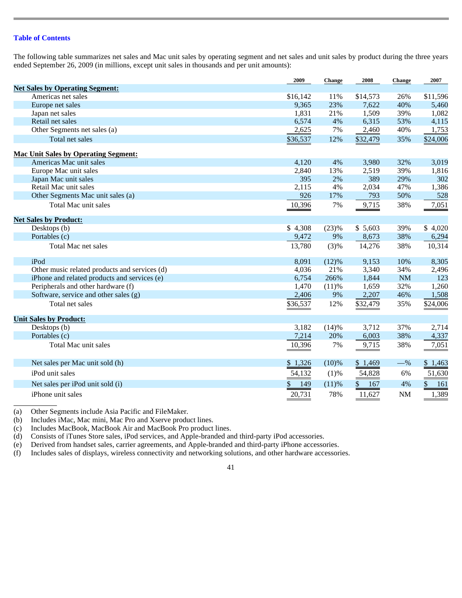### **Table of Contents**

The following table summarizes net sales and Mac unit sales by operating segment and net sales and unit sales by product during the three years ended September 26, 2009 (in millions, except unit sales in thousands and per unit amounts):

|                                               | 2009      | Change   | 2008      | Change    | 2007      |
|-----------------------------------------------|-----------|----------|-----------|-----------|-----------|
| <b>Net Sales by Operating Segment:</b>        |           |          |           |           |           |
| Americas net sales                            | \$16,142  | 11%      | \$14,573  | 26%       | \$11,596  |
| Europe net sales                              | 9.365     | 23%      | 7,622     | 40%       | 5,460     |
| Japan net sales                               | 1,831     | 21%      | 1,509     | 39%       | 1,082     |
| Retail net sales                              | 6,574     | 4%       | 6,315     | 53%       | 4,115     |
| Other Segments net sales (a)                  | 2,625     | 7%       | 2,460     | 40%       | 1,753     |
| Total net sales                               | \$36,537  | 12%      | \$32,479  | 35%       | \$24,006  |
| <b>Mac Unit Sales by Operating Segment:</b>   |           |          |           |           |           |
| Americas Mac unit sales                       | 4,120     | 4%       | 3,980     | 32%       | 3,019     |
| Europe Mac unit sales                         | 2,840     | 13%      | 2,519     | 39%       | 1,816     |
| Japan Mac unit sales                          | 395       | 2%       | 389       | 29%       | 302       |
| Retail Mac unit sales                         | 2,115     | 4%       | 2,034     | 47%       | 1,386     |
| Other Segments Mac unit sales (a)             | 926       | 17%      | 793       | 50%       | 528       |
| Total Mac unit sales                          | 10,396    | 7%       | 9,715     | 38%       | 7,051     |
| <b>Net Sales by Product:</b>                  |           |          |           |           |           |
| Desktops (b)                                  | \$4,308   | (23)%    | \$5,603   | 39%       | \$4,020   |
| Portables (c)                                 | 9,472     | 9%       | 8,673     | 38%       | 6,294     |
| Total Mac net sales                           | 13,780    | (3)%     | 14,276    | 38%       | 10,314    |
| iPod                                          | 8,091     | (12)%    | 9,153     | 10%       | 8,305     |
| Other music related products and services (d) | 4,036     | 21%      | 3,340     | 34%       | 2,496     |
| iPhone and related products and services (e)  | 6,754     | 266%     | 1,844     | NM        | 123       |
| Peripherals and other hardware (f)            | 1,470     | (11)%    | 1,659     | 32%       | 1,260     |
| Software, service and other sales (g)         | 2,406     | 9%       | 2,207     | 46%       | 1,508     |
| Total net sales                               | \$36,537  | 12%      | \$32,479  | 35%       | \$24,006  |
| <b>Unit Sales by Product:</b>                 |           |          |           |           |           |
| Desktops (b)                                  | 3,182     | (14)%    | 3,712     | 37%       | 2,714     |
| Portables (c)                                 | 7,214     | 20%      | 6,003     | 38%       | 4,337     |
| Total Mac unit sales                          | 10,396    | 7%       | 9,715     | 38%       | 7,051     |
| Net sales per Mac unit sold (h)               | \$1,326   | (10)%    | \$1,469   | $-$ %     | \$1,463   |
| iPod unit sales                               | 54,132    | $(1)$ %  | 54,828    | 6%        | 51,630    |
| Net sales per iPod unit sold (i)              | \$<br>149 | $(11)$ % | \$<br>167 | 4%        | \$<br>161 |
| iPhone unit sales                             | 20.731    | 78%      | 11,627    | <b>NM</b> | 1,389     |

(a) Other Segments include Asia Pacific and FileMaker.

 $\overline{a}$ 

(b) Includes iMac, Mac mini, Mac Pro and Xserve product lines.

(c) Includes MacBook, MacBook Air and MacBook Pro product lines.

(d) Consists of iTunes Store sales, iPod services, and Apple-branded and third-party iPod accessories.

(e) Derived from handset sales, carrier agreements, and Apple-branded and third-party iPhone accessories.

(f) Includes sales of displays, wireless connectivity and networking solutions, and other hardware accessories.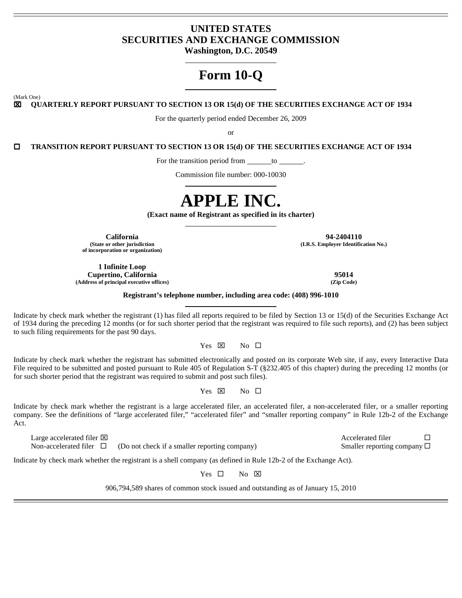### **UNITED STATES SECURITIES AND EXCHANGE COMMISSION Washington, D.C. 20549**

### **Form 10-Q**   $\overline{a}$  $\overline{a}$

(Mark One)

 $\overline{a}$ 

**QUARTERLY REPORT PURSUANT TO SECTION 13 OR 15(d) OF THE SECURITIES EXCHANGE ACT OF 1934** 

For the quarterly period ended December 26, 2009

or

**TRANSITION REPORT PURSUANT TO SECTION 13 OR 15(d) OF THE SECURITIES EXCHANGE ACT OF 1934** 

For the transition period from \_\_\_\_\_\_\_ to \_\_\_\_\_

Commission file number: 000-10030  $\overline{a}$ 

# **APPLE INC.**

**(Exact name of Registrant as specified in its charter)**   $\overline{a}$ 

**(State or other jurisdiction of incorporation or organization)** 

**1 Infinite Loop Cupertino, California 95014 (Address of principal executive offices) (Zip Code)** 

**California 94-2404110 (I.R.S. Employer Identification No.)** 

**Registrant's telephone number, including area code: (408) 996-1010**   $\overline{a}$ 

Indicate by check mark whether the registrant (1) has filed all reports required to be filed by Section 13 or 15(d) of the Securities Exchange Act of 1934 during the preceding 12 months (or for such shorter period that the registrant was required to file such reports), and (2) has been subject to such filing requirements for the past 90 days.

Yes  $\boxtimes$  No  $\Box$ 

Indicate by check mark whether the registrant has submitted electronically and posted on its corporate Web site, if any, every Interactive Data File required to be submitted and posted pursuant to Rule 405 of Regulation S-T (§232.405 of this chapter) during the preceding 12 months (or for such shorter period that the registrant was required to submit and post such files).

Yes  $\boxtimes$  No  $\Box$ 

Indicate by check mark whether the registrant is a large accelerated filer, an accelerated filer, a non-accelerated filer, or a smaller reporting company. See the definitions of "large accelerated filer," "accelerated filer" and "smaller reporting company" in Rule 12b-2 of the Exchange Act.

 $\overline{a}$ E Non-accelerated filer  $\Box$  (Do not check if a smaller reporting company) Smaller reporting company  $\Box$ 

Indicate by check mark whether the registrant is a shell company (as defined in Rule 12b-2 of the Exchange Act).

Yes  $\square$  No  $\square$ 

906,794,589 shares of common stock issued and outstanding as of January 15, 2010

Large accelerated filer  $\Box$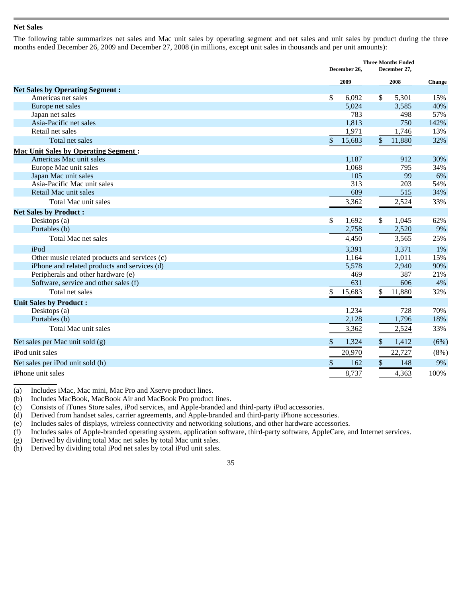The following table summarizes net sales and Mac unit sales by operating segment and net sales and unit sales by product during the three months ended December 26, 2009 and December 27, 2008 (in millions, except unit sales in thousands and per unit amounts):

|                                               |                        | <b>Three Months Ended</b> |         |  |
|-----------------------------------------------|------------------------|---------------------------|---------|--|
|                                               | December 26.           | December 27.              |         |  |
|                                               | 2009                   | 2008                      | Change  |  |
| <b>Net Sales by Operating Segment:</b>        |                        |                           |         |  |
| Americas net sales                            | $\mathbb{S}$<br>6,092  | \$<br>5,301               | 15%     |  |
| Europe net sales                              | 5,024                  | 3,585                     | 40%     |  |
| Japan net sales                               | 783                    | 498                       | 57%     |  |
| Asia-Pacific net sales                        | 1,813                  | 750                       | 142%    |  |
| Retail net sales                              | 1,971                  | 1,746                     | 13%     |  |
| Total net sales                               | \$<br>15,683           | \$<br>11,880              | 32%     |  |
| <b>Mac Unit Sales by Operating Segment:</b>   |                        |                           |         |  |
| Americas Mac unit sales                       | 1.187                  | 912                       | 30%     |  |
| Europe Mac unit sales                         | 1,068                  | 795                       | 34%     |  |
| Japan Mac unit sales                          | 105                    | 99                        | 6%      |  |
| Asia-Pacific Mac unit sales                   | 313                    | 203                       | 54%     |  |
| Retail Mac unit sales                         | 689                    | 515                       | 34%     |  |
| Total Mac unit sales                          | 3,362                  | 2,524                     | 33%     |  |
| <b>Net Sales by Product:</b>                  |                        |                           |         |  |
| Desktops (a)                                  | $\mathbb{S}$<br>1,692  | \$<br>1,045               | 62%     |  |
| Portables (b)                                 | 2,758                  | 2,520                     | 9%      |  |
| Total Mac net sales                           | 4,450                  | 3,565                     | 25%     |  |
| iPod                                          | 3,391                  | 3,371                     | 1%      |  |
| Other music related products and services (c) | 1,164                  | 1,011                     | 15%     |  |
| iPhone and related products and services (d)  | 5,578                  | 2,940                     | 90%     |  |
| Peripherals and other hardware (e)            | 469                    | 387                       | 21%     |  |
| Software, service and other sales (f)         | 631                    | 606                       | 4%      |  |
| Total net sales                               | \$<br>15,683           | \$<br>11,880              | 32%     |  |
| <b>Unit Sales by Product:</b>                 |                        |                           |         |  |
| Desktops (a)                                  | 1,234                  | 728                       | 70%     |  |
| Portables (b)                                 | 2,128                  | 1,796                     | 18%     |  |
| Total Mac unit sales                          | 3,362                  | 2,524                     | 33%     |  |
| Net sales per Mac unit sold (g)               | $\mathcal{S}$<br>1,324 | \$<br>1,412               | (6%)    |  |
| iPod unit sales                               | 20,970                 | 22,727                    | $(8\%)$ |  |
| Net sales per iPod unit sold (h)              | \$<br>162              | \$<br>148                 | 9%      |  |
| iPhone unit sales                             | 8,737                  | 4,363                     | 100%    |  |

 $\overline{a}$ (a) Includes iMac, Mac mini, Mac Pro and Xserve product lines.

(b) Includes MacBook, MacBook Air and MacBook Pro product lines.

(c) Consists of iTunes Store sales, iPod services, and Apple-branded and third-party iPod accessories.

(d) Derived from handset sales, carrier agreements, and Apple-branded and third-party iPhone accessories.

(e) Includes sales of displays, wireless connectivity and networking solutions, and other hardware accessories.

(f) Includes sales of Apple-branded operating system, application software, third-party software, AppleCare, and Internet services.

(g) Derived by dividing total Mac net sales by total Mac unit sales.

(h) Derived by dividing total iPod net sales by total iPod unit sales.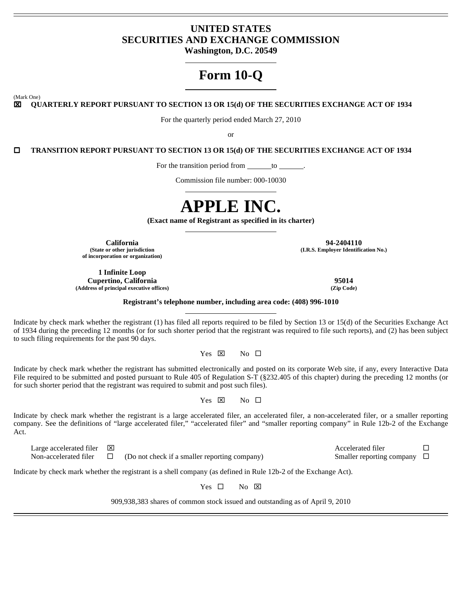### **UNITED STATES SECURITIES AND EXCHANGE COMMISSION Washington, D.C. 20549**

### **Form 10-Q**   $\overline{a}$  $\overline{a}$

(Mark One)

 $\overline{a}$ 

**QUARTERLY REPORT PURSUANT TO SECTION 13 OR 15(d) OF THE SECURITIES EXCHANGE ACT OF 1934** 

For the quarterly period ended March 27, 2010

or

**TRANSITION REPORT PURSUANT TO SECTION 13 OR 15(d) OF THE SECURITIES EXCHANGE ACT OF 1934** 

For the transition period from \_\_\_\_\_\_\_ to \_\_\_\_

Commission file number: 000-10030  $\overline{a}$ 

# **APPLE INC.**

**(Exact name of Registrant as specified in its charter)**   $\overline{a}$ 

**California 94-2404110 (State or other jurisdiction of incorporation or organization)** 

**1 Infinite Loop Cupertino, California 95014 (Address of principal executive offices) (Zip Code)** 

**(I.R.S. Employer Identification No.)** 

**Registrant's telephone number, including area code: (408) 996-1010**   $\overline{a}$ 

Indicate by check mark whether the registrant (1) has filed all reports required to be filed by Section 13 or 15(d) of the Securities Exchange Act of 1934 during the preceding 12 months (or for such shorter period that the registrant was required to file such reports), and (2) has been subject to such filing requirements for the past 90 days.

Yes  $\boxtimes$  No  $\Box$ 

Indicate by check mark whether the registrant has submitted electronically and posted on its corporate Web site, if any, every Interactive Data File required to be submitted and posted pursuant to Rule 405 of Regulation S-T (§232.405 of this chapter) during the preceding 12 months (or for such shorter period that the registrant was required to submit and post such files).

#### Yes  $\boxtimes$  No  $\Box$

Indicate by check mark whether the registrant is a large accelerated filer, an accelerated filer, a non-accelerated filer, or a smaller reporting company. See the definitions of "large accelerated filer," "accelerated filer" and "smaller reporting company" in Rule 12b-2 of the Exchange Act.

Large accelerated filer  $\boxtimes$ 

 $\overline{a}$ E Non-accelerated filer  $\Box$  (Do not check if a smaller reporting company) Smaller reporting company  $\Box$ 

Indicate by check mark whether the registrant is a shell company (as defined in Rule 12b-2 of the Exchange Act).

Yes  $\square$  No  $\square$ 

909,938,383 shares of common stock issued and outstanding as of April 9, 2010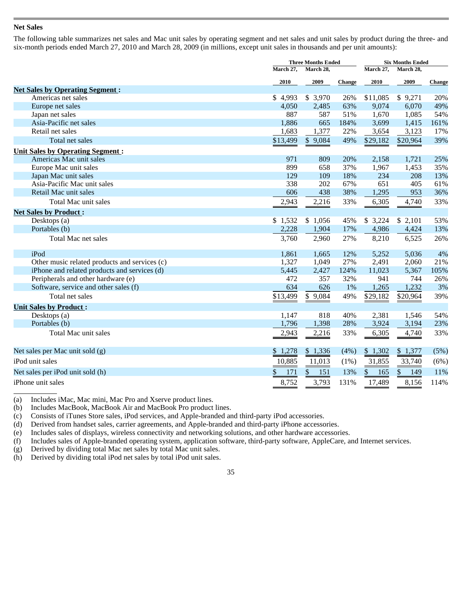$\overline{a}$ 

The following table summarizes net sales and Mac unit sales by operating segment and net sales and unit sales by product during the three- and six-month periods ended March 27, 2010 and March 28, 2009 (in millions, except unit sales in thousands and per unit amounts):

|                                               |           | <b>Three Months Ended</b> |         |                        | <b>Six Months Ended</b> |               |  |  |
|-----------------------------------------------|-----------|---------------------------|---------|------------------------|-------------------------|---------------|--|--|
|                                               | March 27, | March 28,                 |         | March 27,<br>March 28, |                         |               |  |  |
|                                               | 2010      | 2009                      | Change  | 2010                   | 2009                    | <b>Change</b> |  |  |
| <b>Net Sales by Operating Segment:</b>        |           |                           |         |                        |                         |               |  |  |
| Americas net sales                            | \$4,993   | \$3,970                   | 26%     | \$11,085               | \$9,271                 | 20%           |  |  |
| Europe net sales                              | 4,050     | 2,485                     | 63%     | 9,074                  | 6,070                   | 49%           |  |  |
| Japan net sales                               | 887       | 587                       | 51%     | 1,670                  | 1,085                   | 54%           |  |  |
| Asia-Pacific net sales                        | 1,886     | 665                       | 184%    | 3,699                  | 1,415                   | 161%          |  |  |
| Retail net sales                              | 1,683     | 1,377                     | 22%     | 3,654                  | 3,123                   | 17%           |  |  |
| Total net sales                               | \$13,499  | \$9,084                   | 49%     | \$29,182               | \$20,964                | 39%           |  |  |
| <b>Unit Sales by Operating Segment:</b>       |           |                           |         |                        |                         |               |  |  |
| Americas Mac unit sales                       | 971       | 809                       | 20%     | 2,158                  | 1,721                   | 25%           |  |  |
| Europe Mac unit sales                         | 899       | 658                       | 37%     | 1,967                  | 1,453                   | 35%           |  |  |
| Japan Mac unit sales                          | 129       | 109                       | 18%     | 234                    | 208                     | 13%           |  |  |
| Asia-Pacific Mac unit sales                   | 338       | 202                       | 67%     | 651                    | 405                     | 61%           |  |  |
| Retail Mac unit sales                         | 606       | 438                       | 38%     | 1,295                  | 953                     | 36%           |  |  |
| Total Mac unit sales                          | 2,943     | 2,216                     | 33%     | 6,305                  | 4,740                   | 33%           |  |  |
| <b>Net Sales by Product:</b>                  |           |                           |         |                        |                         |               |  |  |
| Desktops (a)                                  | \$1,532   | \$1,056                   | 45%     | \$3,224                | \$2,101                 | 53%           |  |  |
| Portables (b)                                 | 2,228     | 1,904                     | 17%     | 4,986                  | 4,424                   | 13%           |  |  |
| Total Mac net sales                           | 3,760     | 2,960                     | 27%     | 8,210                  | 6,525                   | 26%           |  |  |
| iPod                                          | 1,861     | 1,665                     | 12%     | 5,252                  | 5,036                   | 4%            |  |  |
| Other music related products and services (c) | 1,327     | 1,049                     | 27%     | 2,491                  | 2,060                   | 21%           |  |  |
| iPhone and related products and services (d)  | 5,445     | 2,427                     | 124%    | 11,023                 | 5,367                   | 105%          |  |  |
| Peripherals and other hardware (e)            | 472       | 357                       | 32%     | 941                    | 744                     | 26%           |  |  |
| Software, service and other sales (f)         | 634       | 626                       | 1%      | 1,265                  | 1,232                   | 3%            |  |  |
| Total net sales                               | \$13,499  | \$9,084                   | 49%     | \$29,182               | \$20,964                | 39%           |  |  |
| <b>Unit Sales by Product:</b>                 |           |                           |         |                        |                         |               |  |  |
| Desktops (a)                                  | 1,147     | 818                       | 40%     | 2,381                  | 1,546                   | 54%           |  |  |
| Portables (b)                                 | 1,796     | 1,398                     | 28%     | 3,924                  | 3,194                   | 23%           |  |  |
| Total Mac unit sales                          | 2,943     | 2,216                     | 33%     | 6,305                  | 4,740                   | 33%           |  |  |
| Net sales per Mac unit sold (g)               | \$1,278   | \$1,336                   | (4%)    | \$1,302                | \$1,377                 | (5%)          |  |  |
| iPod unit sales                               | 10,885    | 11,013                    | $(1\%)$ | 31,855                 | 33,740                  | (6%)          |  |  |
| Net sales per iPod unit sold (h)              | \$<br>171 | $\mathcal{S}$<br>151      | 13%     | \$<br>165              | $\mathbb{S}$<br>149     | 11%           |  |  |
| iPhone unit sales                             | 8,752     | 3,793                     | 131%    | 17,489                 | 8,156                   | 114%          |  |  |

(a) Includes iMac, Mac mini, Mac Pro and Xserve product lines.

(b) Includes MacBook, MacBook Air and MacBook Pro product lines.

(c) Consists of iTunes Store sales, iPod services, and Apple-branded and third-party iPod accessories.

(d) Derived from handset sales, carrier agreements, and Apple-branded and third-party iPhone accessories.

(e) Includes sales of displays, wireless connectivity and networking solutions, and other hardware accessories.

(f) Includes sales of Apple-branded operating system, application software, third-party software, AppleCare, and Internet services.

(g) Derived by dividing total Mac net sales by total Mac unit sales.

(h) Derived by dividing total iPod net sales by total iPod unit sales.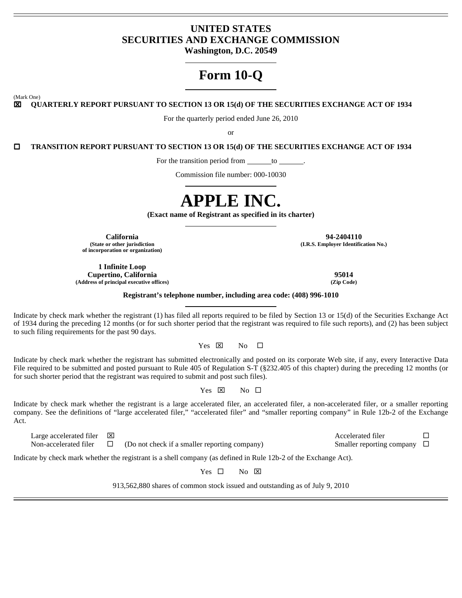### **UNITED STATES SECURITIES AND EXCHANGE COMMISSION Washington, D.C. 20549**

### **Form 10-Q**   $\overline{a}$  $\overline{a}$

(Mark One)

 $\overline{a}$ 

**QUARTERLY REPORT PURSUANT TO SECTION 13 OR 15(d) OF THE SECURITIES EXCHANGE ACT OF 1934** 

For the quarterly period ended June 26, 2010

or

**TRANSITION REPORT PURSUANT TO SECTION 13 OR 15(d) OF THE SECURITIES EXCHANGE ACT OF 1934** 

For the transition period from \_\_\_\_\_\_\_ to \_\_\_\_\_

Commission file number: 000-10030  $\overline{a}$ 

# **APPLE INC.**

**(Exact name of Registrant as specified in its charter)**   $\overline{a}$ 

**(State or other jurisdiction of incorporation or organization)** 

**1 Infinite Loop Cupertino, California 95014 (Address of principal executive offices) (Zip Code)** 

**California 94-2404110 (I.R.S. Employer Identification No.)** 

**Registrant's telephone number, including area code: (408) 996-1010**   $\overline{a}$ 

Indicate by check mark whether the registrant (1) has filed all reports required to be filed by Section 13 or 15(d) of the Securities Exchange Act of 1934 during the preceding 12 months (or for such shorter period that the registrant was required to file such reports), and (2) has been subject to such filing requirements for the past 90 days.

Yes  $\boxtimes$  No  $\Box$ 

Indicate by check mark whether the registrant has submitted electronically and posted on its corporate Web site, if any, every Interactive Data File required to be submitted and posted pursuant to Rule 405 of Regulation S-T (§232.405 of this chapter) during the preceding 12 months (or for such shorter period that the registrant was required to submit and post such files).

Yes  $\boxtimes$  No  $\Box$ 

Indicate by check mark whether the registrant is a large accelerated filer, an accelerated filer, a non-accelerated filer, or a smaller reporting company. See the definitions of "large accelerated filer," "accelerated filer" and "smaller reporting company" in Rule 12b-2 of the Exchange Act.

 $\overline{a}$ F Large accelerated filer  $\Box$ <br>
Non-accelerated filer  $\Box$  (Do not check if a smaller reporting company)  $\Box$  Smaller reporting company  $\Box$ Non-accelerated filer  $\Box$  (Do not check if a smaller reporting company) Smaller reporting company  $\Box$ 

Indicate by check mark whether the registrant is a shell company (as defined in Rule 12b-2 of the Exchange Act).

Yes  $\square$  No  $\square$ 

913,562,880 shares of common stock issued and outstanding as of July 9, 2010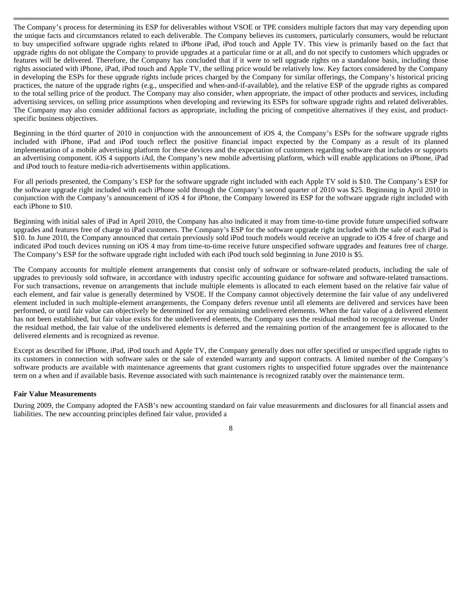The Company's process for determining its ESP for deliverables without VSOE or TPE considers multiple factors that may vary depending upon the unique facts and circumstances related to each deliverable. The Company believes its customers, particularly consumers, would be reluctant to buy unspecified software upgrade rights related to iPhone iPad, iPod touch and Apple TV. This view is primarily based on the fact that upgrade rights do not obligate the Company to provide upgrades at a particular time or at all, and do not specify to customers which upgrades or features will be delivered. Therefore, the Company has concluded that if it were to sell upgrade rights on a standalone basis, including those rights associated with iPhone, iPad, iPod touch and Apple TV, the selling price would be relatively low. Key factors considered by the Company in developing the ESPs for these upgrade rights include prices charged by the Company for similar offerings, the Company's historical pricing practices, the nature of the upgrade rights (e.g., unspecified and when-and-if-available), and the relative ESP of the upgrade rights as compared to the total selling price of the product. The Company may also consider, when appropriate, the impact of other products and services, including advertising services, on selling price assumptions when developing and reviewing its ESPs for software upgrade rights and related deliverables. The Company may also consider additional factors as appropriate, including the pricing of competitive alternatives if they exist, and productspecific business objectives.

Beginning in the third quarter of 2010 in conjunction with the announcement of iOS 4, the Company's ESPs for the software upgrade rights included with iPhone, iPad and iPod touch reflect the positive financial impact expected by the Company as a result of its planned implementation of a mobile advertising platform for these devices and the expectation of customers regarding software that includes or supports an advertising component. iOS 4 supports iAd, the Company's new mobile advertising platform, which will enable applications on iPhone, iPad and iPod touch to feature media-rich advertisements within applications.

For all periods presented, the Company's ESP for the software upgrade right included with each Apple TV sold is \$10. The Company's ESP for the software upgrade right included with each iPhone sold through the Company's second quarter of 2010 was \$25. Beginning in April 2010 in conjunction with the Company's announcement of iOS 4 for iPhone, the Company lowered its ESP for the software upgrade right included with each iPhone to \$10.

Beginning with initial sales of iPad in April 2010, the Company has also indicated it may from time-to-time provide future unspecified software upgrades and features free of charge to iPad customers. The Company's ESP for the software upgrade right included with the sale of each iPad is \$10. In June 2010, the Company announced that certain previously sold iPod touch models would receive an upgrade to iOS 4 free of charge and indicated iPod touch devices running on iOS 4 may from time-to-time receive future unspecified software upgrades and features free of charge. The Company's ESP for the software upgrade right included with each iPod touch sold beginning in June 2010 is \$5.

The Company accounts for multiple element arrangements that consist only of software or software-related products, including the sale of upgrades to previously sold software, in accordance with industry specific accounting guidance for software and software-related transactions. For such transactions, revenue on arrangements that include multiple elements is allocated to each element based on the relative fair value of each element, and fair value is generally determined by VSOE. If the Company cannot objectively determine the fair value of any undelivered element included in such multiple-element arrangements, the Company defers revenue until all elements are delivered and services have been performed, or until fair value can objectively be determined for any remaining undelivered elements. When the fair value of a delivered element has not been established, but fair value exists for the undelivered elements, the Company uses the residual method to recognize revenue. Under the residual method, the fair value of the undelivered elements is deferred and the remaining portion of the arrangement fee is allocated to the delivered elements and is recognized as revenue.

Except as described for iPhone, iPad, iPod touch and Apple TV, the Company generally does not offer specified or unspecified upgrade rights to its customers in connection with software sales or the sale of extended warranty and support contracts. A limited number of the Company's software products are available with maintenance agreements that grant customers rights to unspecified future upgrades over the maintenance term on a when and if available basis. Revenue associated with such maintenance is recognized ratably over the maintenance term.

#### **Fair Value Measurements**

During 2009, the Company adopted the FASB's new accounting standard on fair value measurements and disclosures for all financial assets and liabilities. The new accounting principles defined fair value, provided a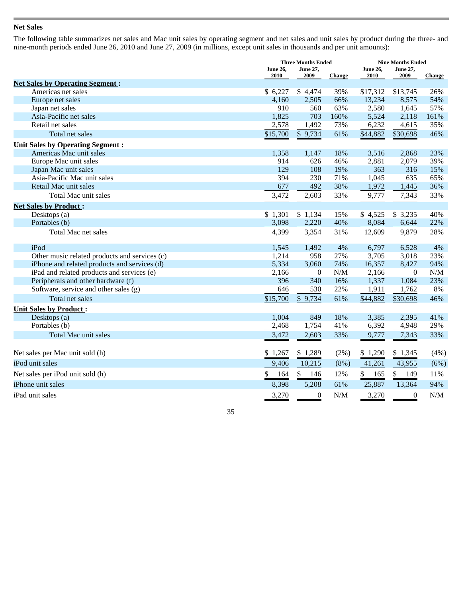The following table summarizes net sales and Mac unit sales by operating segment and net sales and unit sales by product during the three- and nine-month periods ended June 26, 2010 and June 27, 2009 (in millions, except unit sales in thousands and per unit amounts):

|                                               | <b>Three Months Ended</b> |                  |                                               | <b>Nine Months Ended</b> |                         |        |
|-----------------------------------------------|---------------------------|------------------|-----------------------------------------------|--------------------------|-------------------------|--------|
|                                               | <b>June 26,</b><br>2010   | June 27,<br>2009 | <b>Change</b>                                 | <b>June 26,</b><br>2010  | <b>June 27,</b><br>2009 | Change |
| <b>Net Sales by Operating Segment:</b>        |                           |                  |                                               |                          |                         |        |
| Americas net sales                            | \$6,227                   | \$4,474          | 39%                                           | \$17,312                 | \$13,745                | 26%    |
| Europe net sales                              | 4,160                     | 2,505            | 66%                                           | 13,234                   | 8,575                   | 54%    |
| Japan net sales                               | 910                       | 560              | 63%                                           | 2,580                    | 1,645                   | 57%    |
| Asia-Pacific net sales                        | 1,825                     | 703              | 160%                                          | 5,524                    | 2,118                   | 161%   |
| Retail net sales                              | 2,578                     | 1,492            | 73%                                           | 6,232                    | 4,615                   | 35%    |
| Total net sales                               | \$15,700                  | \$9,734          | 61%                                           | \$44,882                 | \$30,698                | 46%    |
| <b>Unit Sales by Operating Segment:</b>       |                           |                  |                                               |                          |                         |        |
| Americas Mac unit sales                       | 1,358                     | 1,147            | 18%                                           | 3,516                    | 2,868                   | 23%    |
| Europe Mac unit sales                         | 914                       | 626              | 46%                                           | 2,881                    | 2,079                   | 39%    |
| Japan Mac unit sales                          | 129                       | 108              | 19%                                           | 363                      | 316                     | 15%    |
| Asia-Pacific Mac unit sales                   | 394                       | 230              | 71%                                           | 1,045                    | 635                     | 65%    |
| Retail Mac unit sales                         | 677                       | 492              | 38%                                           | 1,972                    | 1,445                   | 36%    |
| Total Mac unit sales                          | 3,472                     | 2,603            | 33%                                           | 9,777                    | 7,343                   | 33%    |
| <b>Net Sales by Product:</b>                  |                           |                  |                                               |                          |                         |        |
| Desktops (a)                                  | \$1,301                   | \$1,134          | 15%                                           | \$4,525                  | \$3,235                 | 40%    |
| Portables (b)                                 | 3,098                     | 2,220            | 40%                                           | 8,084                    | 6,644                   | 22%    |
| Total Mac net sales                           | 4,399                     | 3,354            | 31%                                           | 12,609                   | 9,879                   | 28%    |
| iPod                                          | 1,545                     | 1,492            | 4%                                            | 6,797                    | 6,528                   | 4%     |
| Other music related products and services (c) | 1,214                     | 958              | 27%                                           | 3,705                    | 3,018                   | 23%    |
| iPhone and related products and services (d)  | 5,334                     | 3,060            | 74%                                           | 16,357                   | 8,427                   | 94%    |
| iPad and related products and services (e)    | 2,166                     | $\mathbf{0}$     | $\ensuremath{\text{N}}/\ensuremath{\text{M}}$ | 2,166                    | $\boldsymbol{0}$        | N/M    |
| Peripherals and other hardware (f)            | 396                       | 340              | 16%                                           | 1,337                    | 1,084                   | 23%    |
| Software, service and other sales (g)         | 646                       | 530              | 22%                                           | 1,911                    | 1,762                   | 8%     |
| Total net sales                               | \$15,700                  | \$9,734          | 61%                                           | \$44,882                 | \$30,698                | 46%    |
| <b>Unit Sales by Product:</b>                 |                           |                  |                                               |                          |                         |        |
| Desktops (a)                                  | 1,004                     | 849              | 18%                                           | 3,385                    | 2,395                   | 41%    |
| Portables (b)                                 | 2,468                     | 1,754            | 41%                                           | 6,392                    | 4,948                   | 29%    |
| Total Mac unit sales                          | 3,472                     | 2,603            | 33%                                           | 9,777                    | 7,343                   | 33%    |
| Net sales per Mac unit sold (h)               | \$1,267                   | \$1,289          | $(2\%)$                                       | \$1,290                  | \$1,345                 | (4%)   |
| iPod unit sales                               | 9,406                     | 10,215           | (8%)                                          | 41,261                   | 43,955                  | (6%)   |
| Net sales per iPod unit sold (h)              | \$<br>164                 | \$<br>146        | 12%                                           | \$<br>165                | \$<br>149               | 11%    |
| iPhone unit sales                             | 8,398                     | 5,208            | 61%                                           | 25,887                   | 13,364                  | 94%    |
| iPad unit sales                               | 3,270                     | $\mathbf{0}$     | $\ensuremath{\text{N}}/\ensuremath{\text{M}}$ | 3,270                    | $\mathbf{0}$            | N/M    |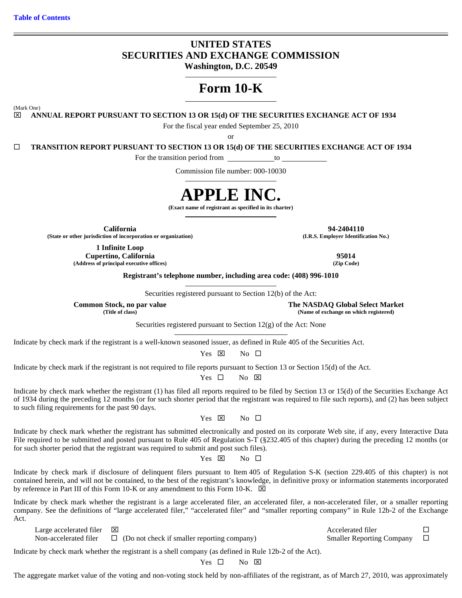### **UNITED STATES SECURITIES AND EXCHANGE COMMISSION**

**Washington, D.C. 20549**   $\overline{a}$ 

### **Form 10-K**   $\overline{a}$

(Mark One)

 $\overline{a}$ 

#### **ANNUAL REPORT PURSUANT TO SECTION 13 OR 15(d) OF THE SECURITIES EXCHANGE ACT OF 1934**

For the fiscal year ended September 25, 2010

or

**TRANSITION REPORT PURSUANT TO SECTION 13 OR 15(d) OF THE SECURITIES EXCHANGE ACT OF 1934** 

For the transition period from \_\_\_\_\_\_\_\_\_\_\_\_\_\_to

Commission file number: 000-10030 l,

# **APPLE INC.**

**(Exact name of registrant as specified in its charter)**   $\overline{a}$ 

California **94-2404110**<br> **California** 94-2404110<br>
(I.R.S. Employer Identification No.) (State or other jurisdiction of incorporation or organization)

**1 Infinite Loop Cupertino, California** 95014 **195014 195014 195014 195014 195014 195014 195014** (Address of principal executive offices)

**Registrant's telephone number, including area code: (408) 996-1010**   $\overline{a}$ 

Securities registered pursuant to Section 12(b) of the Act:

**Common Stock, no par value** The NASDAQ Global Select Market **The NASDAQ Global Select Market** (Name of exchange on which registered)

> Securities registered pursuant to Section 12(g) of the Act: None  $\overline{a}$

Indicate by check mark if the registrant is a well-known seasoned issuer, as defined in Rule 405 of the Securities Act.

Yes  $\boxtimes$  No  $\Box$ 

Indicate by check mark if the registrant is not required to file reports pursuant to Section 13 or Section 15(d) of the Act.

Yes  $\square$  No  $\square$ 

Indicate by check mark whether the registrant (1) has filed all reports required to be filed by Section 13 or 15(d) of the Securities Exchange Act of 1934 during the preceding 12 months (or for such shorter period that the registrant was required to file such reports), and (2) has been subject to such filing requirements for the past 90 days.

Yes  $\boxtimes$  No  $\Box$ 

Indicate by check mark whether the registrant has submitted electronically and posted on its corporate Web site, if any, every Interactive Data File required to be submitted and posted pursuant to Rule 405 of Regulation S-T (§232.405 of this chapter) during the preceding 12 months (or for such shorter period that the registrant was required to submit and post such files).

Yes  $\boxtimes$  No  $\Box$ 

Indicate by check mark if disclosure of delinquent filers pursuant to Item 405 of Regulation S-K (section 229.405 of this chapter) is not contained herein, and will not be contained, to the best of the registrant's knowledge, in definitive proxy or information statements incorporated by reference in Part III of this Form 10-K or any amendment to this Form 10-K.  $\boxtimes$ 

Indicate by check mark whether the registrant is a large accelerated filer, an accelerated filer, a non-accelerated filer, or a smaller reporting company. See the definitions of "large accelerated filer," "accelerated filer" and "smaller reporting company" in Rule 12b-2 of the Exchange Act.

Large accelerated filer  $\boxtimes$ Non-accelerated filer  $\Box$  (Do not check if smaller reporting company) Smaller Reporting Company  $\Box$ 

Indicate by check mark whether the registrant is a shell company (as defined in Rule 12b-2 of the Act).

Yes  $\square$  No  $\square$ 

The aggregate market value of the voting and non-voting stock held by non-affiliates of the registrant, as of March 27, 2010, was approximately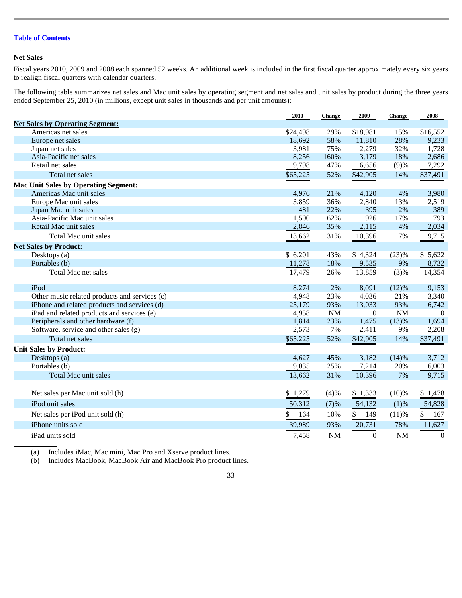### **Table of Contents**

### **Net Sales**

 $\overline{a}$ 

Fiscal years 2010, 2009 and 2008 each spanned 52 weeks. An additional week is included in the first fiscal quarter approximately every six years to realign fiscal quarters with calendar quarters.

The following table summarizes net sales and Mac unit sales by operating segment and net sales and unit sales by product during the three years ended September 25, 2010 (in millions, except unit sales in thousands and per unit amounts):

|                                               | 2010      | Change    | 2009         | Change    | 2008           |
|-----------------------------------------------|-----------|-----------|--------------|-----------|----------------|
| <b>Net Sales by Operating Segment:</b>        |           |           |              |           |                |
| Americas net sales                            | \$24,498  | 29%       | \$18,981     | 15%       | \$16,552       |
| Europe net sales                              | 18,692    | 58%       | 11,810       | 28%       | 9,233          |
| Japan net sales                               | 3,981     | 75%       | 2,279        | 32%       | 1,728          |
| Asia-Pacific net sales                        | 8,256     | 160%      | 3,179        | 18%       | 2,686          |
| Retail net sales                              | 9,798     | 47%       | 6,656        | (9)%      | 7,292          |
| Total net sales                               | \$65,225  | 52%       | \$42,905     | 14%       | \$37,491       |
| <b>Mac Unit Sales by Operating Segment:</b>   |           |           |              |           |                |
| Americas Mac unit sales                       | 4,976     | 21%       | 4,120        | 4%        | 3,980          |
| Europe Mac unit sales                         | 3,859     | 36%       | 2,840        | 13%       | 2,519          |
| Japan Mac unit sales                          | 481       | 22%       | 395          | 2%        | 389            |
| Asia-Pacific Mac unit sales                   | 1,500     | 62%       | 926          | 17%       | 793            |
| Retail Mac unit sales                         | 2,846     | 35%       | 2,115        | 4%        | 2,034          |
| Total Mac unit sales                          | 13,662    | 31%       | 10,396       | 7%        | 9,715          |
| <b>Net Sales by Product:</b>                  |           |           |              |           |                |
| Desktops (a)                                  | \$6,201   | 43%       | \$4,324      | (23)%     | \$5,622        |
| Portables (b)                                 | 11,278    | 18%       | 9,535        | 9%        | 8,732          |
| Total Mac net sales                           | 17,479    | 26%       | 13,859       | (3)%      | 14,354         |
| iPod                                          | 8,274     | 2%        | 8,091        | (12)%     | 9,153          |
| Other music related products and services (c) | 4,948     | 23%       | 4,036        | 21%       | 3,340          |
| iPhone and related products and services (d)  | 25,179    | 93%       | 13,033       | 93%       | 6,742          |
| iPad and related products and services (e)    | 4,958     | $\rm{NM}$ | $\theta$     | <b>NM</b> | $\theta$       |
| Peripherals and other hardware (f)            | 1,814     | 23%       | 1,475        | (13)%     | 1,694          |
| Software, service and other sales (g)         | 2,573     | 7%        | 2,411        | 9%        | 2,208          |
| Total net sales                               | \$65,225  | 52%       | \$42,905     | 14%       | \$37,491       |
| <b>Unit Sales by Product:</b>                 |           |           |              |           |                |
| Desktops (a)                                  | 4,627     | 45%       | 3,182        | (14)%     | 3,712          |
| Portables (b)                                 | 9,035     | 25%       | 7,214        | 20%       | 6,003          |
| Total Mac unit sales                          | 13,662    | 31%       | 10,396       | 7%        | 9,715          |
| Net sales per Mac unit sold (h)               | \$1,279   | (4)%      | \$1,333      | (10)%     | \$1,478        |
| iPod unit sales                               | 50,312    | (7)%      | 54,132       | $(1)$ %   | 54,828         |
| Net sales per iPod unit sold (h)              | \$<br>164 | 10%       | \$<br>149    | $(11)$ %  | \$<br>167      |
| iPhone units sold                             | 39,989    | 93%       | 20,731       | 78%       | 11,627         |
| iPad units sold                               | 7,458     | <b>NM</b> | $\mathbf{0}$ | <b>NM</b> | $\overline{0}$ |

(a) Includes iMac, Mac mini, Mac Pro and Xserve product lines.

(b) Includes MacBook, MacBook Air and MacBook Pro product lines.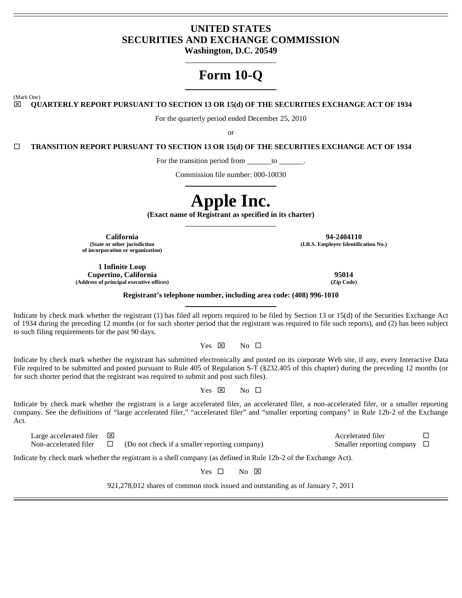### **UNITED STATES SECURITIES AND EXCHANGE COMMISSION Washington, D.C. 20549**

### **Form 10-Q**   $\overline{a}$  $\overline{a}$

(Mark One)

 $\overline{a}$ 

**QUARTERLY REPORT PURSUANT TO SECTION 13 OR 15(d) OF THE SECURITIES EXCHANGE ACT OF 1934** 

For the quarterly period ended December 25, 2010

or

**TRANSITION REPORT PURSUANT TO SECTION 13 OR 15(d) OF THE SECURITIES EXCHANGE ACT OF 1934** 

For the transition period from \_\_\_\_\_\_\_ to \_\_\_\_\_

Commission file number: 000-10030  $\overline{a}$ 

# **Apple Inc.**

**(Exact name of Registrant as specified in its charter)**   $\overline{a}$ 

**(State or other jurisdiction of incorporation or organization)** 

**1 Infinite Loop Cupertino, California 95014 (Address of principal executive offices) (Zip Code)** 

**California 94-2404110 (I.R.S. Employer Identification No.)** 

**Registrant's telephone number, including area code: (408) 996-1010**   $\overline{a}$ 

Indicate by check mark whether the registrant (1) has filed all reports required to be filed by Section 13 or 15(d) of the Securities Exchange Act of 1934 during the preceding 12 months (or for such shorter period that the registrant was required to file such reports), and (2) has been subject to such filing requirements for the past 90 days.

Yes  $\boxtimes$  No  $\Box$ 

Indicate by check mark whether the registrant has submitted electronically and posted on its corporate Web site, if any, every Interactive Data File required to be submitted and posted pursuant to Rule 405 of Regulation S-T (§232.405 of this chapter) during the preceding 12 months (or for such shorter period that the registrant was required to submit and post such files).

Yes  $\boxtimes$  No  $\Box$ 

Indicate by check mark whether the registrant is a large accelerated filer, an accelerated filer, a non-accelerated filer, or a smaller reporting company. See the definitions of "large accelerated filer," "accelerated filer" and "smaller reporting company" in Rule 12b-2 of the Exchange Act.

 $\overline{a}$ F Large accelerated filer  $\Box$ <br>
Non-accelerated filer  $\Box$  (Do not check if a smaller reporting company)  $\Box$  Smaller reporting company  $\Box$ Non-accelerated filer  $\Box$  (Do not check if a smaller reporting company) Smaller reporting company  $\Box$ 

Indicate by check mark whether the registrant is a shell company (as defined in Rule 12b-2 of the Exchange Act).

Yes  $\square$  No  $\square$ 

921,278,012 shares of common stock issued and outstanding as of January 7, 2011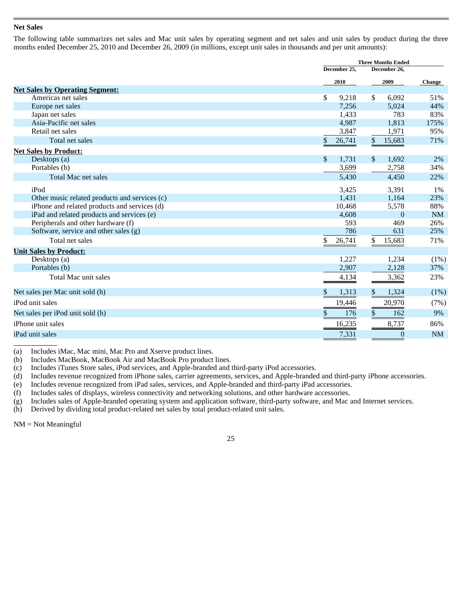The following table summarizes net sales and Mac unit sales by operating segment and net sales and unit sales by product during the three months ended December 25, 2010 and December 26, 2009 (in millions, except unit sales in thousands and per unit amounts):

|                                               |                        | <b>Three Months Ended</b> |               |  |
|-----------------------------------------------|------------------------|---------------------------|---------------|--|
|                                               | December 25.           | December 26.              |               |  |
|                                               | 2010                   | 2009                      | <b>Change</b> |  |
| <b>Net Sales by Operating Segment:</b>        |                        |                           |               |  |
| Americas net sales                            | \$<br>9,218            | \$<br>6,092               | 51%           |  |
| Europe net sales                              | 7,256                  | 5,024                     | 44%           |  |
| Japan net sales                               | 1,433                  | 783                       | 83%           |  |
| Asia-Pacific net sales                        | 4,987                  | 1,813                     | 175%          |  |
| Retail net sales                              | 3,847                  | 1,971                     | 95%           |  |
| Total net sales                               | 26,741                 | 15,683<br>\$              | 71%           |  |
| <b>Net Sales by Product:</b>                  |                        |                           |               |  |
| Desktops (a)                                  | $\mathcal{S}$<br>1,731 | $\mathsf{\$}$<br>1,692    | 2%            |  |
| Portables (b)                                 | 3,699                  | 2,758                     | 34%           |  |
| Total Mac net sales                           | 5,430                  | 4,450                     | 22%           |  |
| iPod                                          | 3,425                  | 3,391                     | 1%            |  |
| Other music related products and services (c) | 1,431                  | 1,164                     | 23%           |  |
| iPhone and related products and services (d)  | 10,468                 | 5,578                     | 88%           |  |
| iPad and related products and services (e)    | 4,608                  | $\overline{0}$            | NM            |  |
| Peripherals and other hardware (f)            | 593                    | 469                       | 26%           |  |
| Software, service and other sales (g)         | 786                    | 631                       | 25%           |  |
| Total net sales                               | 26,741<br>\$           | $\frac{1}{2}$<br>15,683   | 71%           |  |
| <b>Unit Sales by Product:</b>                 |                        |                           |               |  |
| Desktops (a)                                  | 1,227                  | 1,234                     | $(1\%)$       |  |
| Portables (b)                                 | 2,907                  | 2,128                     | 37%           |  |
| Total Mac unit sales                          | 4,134                  | 3,362                     | 23%           |  |
| Net sales per Mac unit sold (h)               | 1,313                  | \$<br>1,324               | (1%)          |  |
| iPod unit sales                               | 19,446                 | 20,970                    | (7%)          |  |
| Net sales per iPod unit sold (h)              | 176                    | \$<br>162                 | 9%            |  |
| <i>iPhone</i> unit sales                      | 16,235                 | 8,737                     | 86%           |  |
| iPad unit sales                               | 7,331                  | $\theta$                  | <b>NM</b>     |  |

(a) Includes iMac, Mac mini, Mac Pro and Xserve product lines.

(b) Includes MacBook, MacBook Air and MacBook Pro product lines.

(c) Includes iTunes Store sales, iPod services, and Apple-branded and third-party iPod accessories.

(d) Includes revenue recognized from iPhone sales, carrier agreements, services, and Apple-branded and third-party iPhone accessories.

(e) Includes revenue recognized from iPad sales, services, and Apple-branded and third-party iPad accessories.

(f) Includes sales of displays, wireless connectivity and networking solutions, and other hardware accessories.

(g) Includes sales of Apple-branded operating system and application software, third-party software, and Mac and Internet services.

(h) Derived by dividing total product-related net sales by total product-related unit sales.

 $NM = Not Meaningful$ 

 $\overline{a}$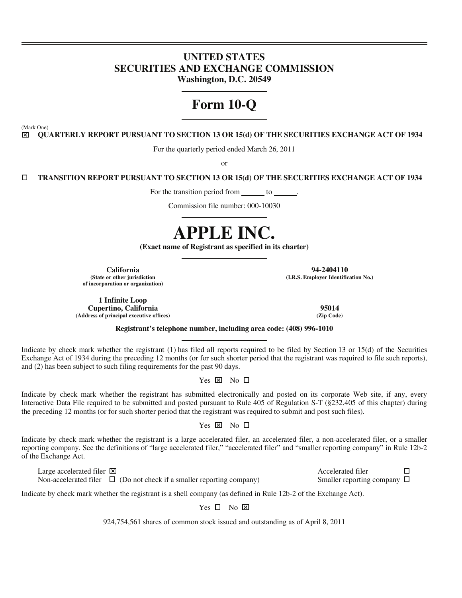### **UNITED STATES SECURITIES AND EXCHANGE COMMISSION Washington, D.C. 20549**

### **Form 10-Q**

(Mark One)

 $\overline{a}$ 

### ⌧ **QUARTERLY REPORT PURSUANT TO SECTION 13 OR 15(d) OF THE SECURITIES EXCHANGE ACT OF 1934**

For the quarterly period ended March 26, 2011

or

#### **TRANSITION REPORT PURSUANT TO SECTION 13 OR 15(d) OF THE SECURITIES EXCHANGE ACT OF 1934**

For the transition period from  $\_\_\_\_$  to  $\_\_\_\$ .

Commission file number: 000-10030

# **APPLE INC.**

**(Exact name of Registrant as specified in its charter)** 

**California 94-2404110 (State or other jurisdiction of incorporation or organization)**

**1 Infinite Loop Cupertino, California 95014** (Address of principal executive offices)

**(I.R.S. Employer Identification No.)**

#### **Registrant's telephone number, including area code: (408) 996-1010**

Indicate by check mark whether the registrant (1) has filed all reports required to be filed by Section 13 or 15(d) of the Securities Exchange Act of 1934 during the preceding 12 months (or for such shorter period that the registrant was required to file such reports), and (2) has been subject to such filing requirements for the past 90 days.

Yes  $\boxtimes$  No  $\Box$ 

Indicate by check mark whether the registrant has submitted electronically and posted on its corporate Web site, if any, every Interactive Data File required to be submitted and posted pursuant to Rule 405 of Regulation S-T (§232.405 of this chapter) during the preceding 12 months (or for such shorter period that the registrant was required to submit and post such files).

### Yes  $\boxtimes$  No  $\Box$

Indicate by check mark whether the registrant is a large accelerated filer, an accelerated filer, a non-accelerated filer, or a smaller reporting company. See the definitions of "large accelerated filer," "accelerated filer" and "smaller reporting company" in Rule 12b-2 of the Exchange Act.

Large accelerated filer 図<br>Non-accelerated filer ロ (Do not check if a smaller reporting company) Accelerated filer ロ コ Non-accelerated filer  $\Box$  (Do not check if a smaller reporting company) Smaller reporting company  $\Box$ 

Indicate by check mark whether the registrant is a shell company (as defined in Rule 12b-2 of the Exchange Act).

 $Yes \Box No \boxtimes$ 

924,754,561 shares of common stock issued and outstanding as of April 8, 2011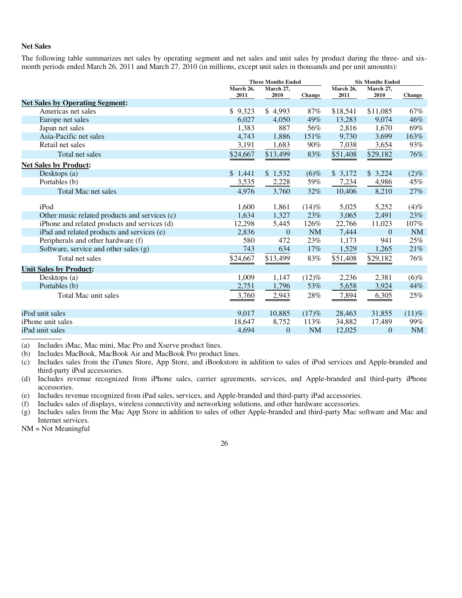The following table summarizes net sales by operating segment and net sales and unit sales by product during the three- and sixmonth periods ended March 26, 2011 and March 27, 2010 (in millions, except unit sales in thousands and per unit amounts):

|                                               | <b>Three Months Ended</b> |             |           | <b>Six Months Ended</b> |           |           |  |
|-----------------------------------------------|---------------------------|-------------|-----------|-------------------------|-----------|-----------|--|
|                                               | March 26,                 | March 27,   |           | March 26,               | March 27, |           |  |
| <b>Net Sales by Operating Segment:</b>        | 2011                      | <b>2010</b> | Change    | 2011                    | 2010      | Change    |  |
| Americas net sales                            | \$9,323                   | \$4,993     | 87%       | \$18,541                | \$11,085  | 67%       |  |
| Europe net sales                              | 6,027                     | 4,050       | 49%       | 13,283                  | 9,074     | 46%       |  |
| Japan net sales                               | 1,383                     | 887         | 56%       | 2,816                   | 1,670     | 69%       |  |
| Asia-Pacific net sales                        | 4,743                     | 1,886       | 151%      | 9,730                   | 3,699     | 163%      |  |
| Retail net sales                              | 3,191                     | 1,683       | 90%       | 7,038                   | 3,654     | 93%       |  |
| Total net sales                               | \$24,667                  | \$13,499    | 83%       | \$51,408                | \$29,182  | 76%       |  |
| <b>Net Sales by Product:</b>                  |                           |             |           |                         |           |           |  |
| Desktops (a)                                  | \$1,441                   | \$1,532     | $(6)$ %   | \$3,172                 | \$3,224   | $(2)\%$   |  |
| Portables (b)                                 | 3,535                     | 2,228       | 59%       | 7,234                   | 4,986     | 45%       |  |
| Total Mac net sales                           | 4,976                     | 3,760       | 32%       | 10,406                  | 8,210     | 27%       |  |
|                                               |                           |             |           |                         |           |           |  |
| iPod                                          | 1,600                     | 1,861       | (14)%     | 5,025                   | 5,252     | (4)%      |  |
| Other music related products and services (c) | 1,634                     | 1,327       | 23%       | 3,065                   | 2,491     | 23%       |  |
| iPhone and related products and services (d)  | 12,298                    | 5,445       | 126%      | 22,766                  | 11,023    | 107%      |  |
| iPad and related products and services (e)    | 2.836                     | $\theta$    | <b>NM</b> | 7,444                   | $\Omega$  | NM        |  |
| Peripherals and other hardware (f)            | 580                       | 472         | 23%       | 1,173                   | 941       | 25%       |  |
| Software, service and other sales (g)         | 743                       | 634         | 17%       | 1,529                   | 1,265     | 21%       |  |
| Total net sales                               | \$24,667                  | \$13,499    | $83\%$    | \$51,408                | \$29,182  | 76%       |  |
| <b>Unit Sales by Product:</b>                 |                           |             |           |                         |           |           |  |
| Desktops (a)                                  | 1.009                     | 1,147       | $(12)\%$  | 2,236                   | 2,381     | $(6)$ %   |  |
| Portables (b)                                 | 2,751                     | 1,796       | 53%       | 5,658                   | 3,924     | 44%       |  |
| Total Mac unit sales                          | 3,760                     | 2,943       | 28%       | 7,894                   | 6,305     | 25%       |  |
| iPod unit sales                               | 9,017                     | 10,885      | (17)%     | 28,463                  | 31,855    | (11)%     |  |
| iPhone unit sales                             | 18,647                    | 8,752       | 113%      | 34,882                  | 17,489    | 99%       |  |
| iPad unit sales                               | 4.694                     | $\theta$    | <b>NM</b> | 12,025                  | $\theta$  | <b>NM</b> |  |

(a) Includes iMac, Mac mini, Mac Pro and Xserve product lines.

(b) Includes MacBook, MacBook Air and MacBook Pro product lines.

(c) Includes sales from the iTunes Store, App Store, and iBookstore in addition to sales of iPod services and Apple-branded and third-party iPod accessories.

(d) Includes revenue recognized from iPhone sales, carrier agreements, services, and Apple-branded and third-party iPhone accessories.

(e) Includes revenue recognized from iPad sales, services, and Apple-branded and third-party iPad accessories.

(f) Includes sales of displays, wireless connectivity and networking solutions, and other hardware accessories.

(g) Includes sales from the Mac App Store in addition to sales of other Apple-branded and third-party Mac software and Mac and Internet services.

NM = Not Meaningful

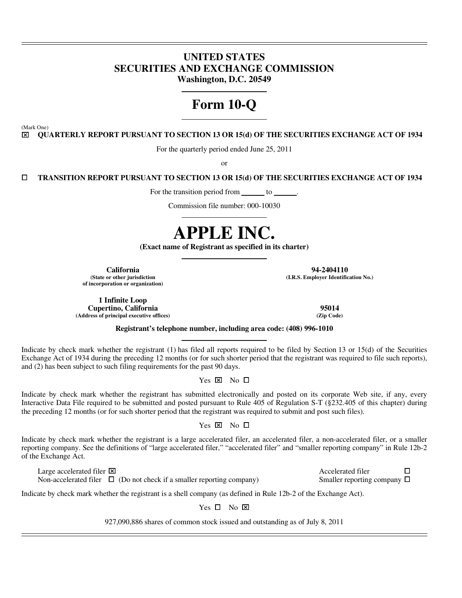### **UNITED STATES SECURITIES AND EXCHANGE COMMISSION Washington, D.C. 20549**

### **Form 10-Q**

(Mark One)

 $\overline{a}$ 

### ⌧ **QUARTERLY REPORT PURSUANT TO SECTION 13 OR 15(d) OF THE SECURITIES EXCHANGE ACT OF 1934**

For the quarterly period ended June 25, 2011

or

#### **TRANSITION REPORT PURSUANT TO SECTION 13 OR 15(d) OF THE SECURITIES EXCHANGE ACT OF 1934**

For the transition period from  $\_\_\_\_$  to  $\_\_\_\_$ .

Commission file number: 000-10030

# **APPLE INC.**

**(Exact name of Registrant as specified in its charter)** 

**California 94-2404110 (State or other jurisdiction of incorporation or organization)**

**1 Infinite Loop Cupertino, California 95014**<br> **Particular Construction of the Security of Trustees 95014**<br> **Particular Construction (Zip Code)** (Address of principal executive offices)

**(I.R.S. Employer Identification No.)**

#### **Registrant's telephone number, including area code: (408) 996-1010**

Indicate by check mark whether the registrant (1) has filed all reports required to be filed by Section 13 or 15(d) of the Securities Exchange Act of 1934 during the preceding 12 months (or for such shorter period that the registrant was required to file such reports), and (2) has been subject to such filing requirements for the past 90 days.

Yes  $\boxtimes$  No  $\Box$ 

Indicate by check mark whether the registrant has submitted electronically and posted on its corporate Web site, if any, every Interactive Data File required to be submitted and posted pursuant to Rule 405 of Regulation S-T (§232.405 of this chapter) during the preceding 12 months (or for such shorter period that the registrant was required to submit and post such files).

### Yes  $\boxtimes$  No  $\Box$

Indicate by check mark whether the registrant is a large accelerated filer, an accelerated filer, a non-accelerated filer, or a smaller reporting company. See the definitions of "large accelerated filer," "accelerated filer" and "smaller reporting company" in Rule 12b-2 of the Exchange Act.

Large accelerated filer ⌧ Accelerated filer -Non-accelerated filer  $\Box$  (Do not check if a smaller reporting company) Smaller reporting company  $\Box$ 

Indicate by check mark whether the registrant is a shell company (as defined in Rule 12b-2 of the Exchange Act).

 $Yes \Box No \boxtimes$ 

927,090,886 shares of common stock issued and outstanding as of July 8, 2011